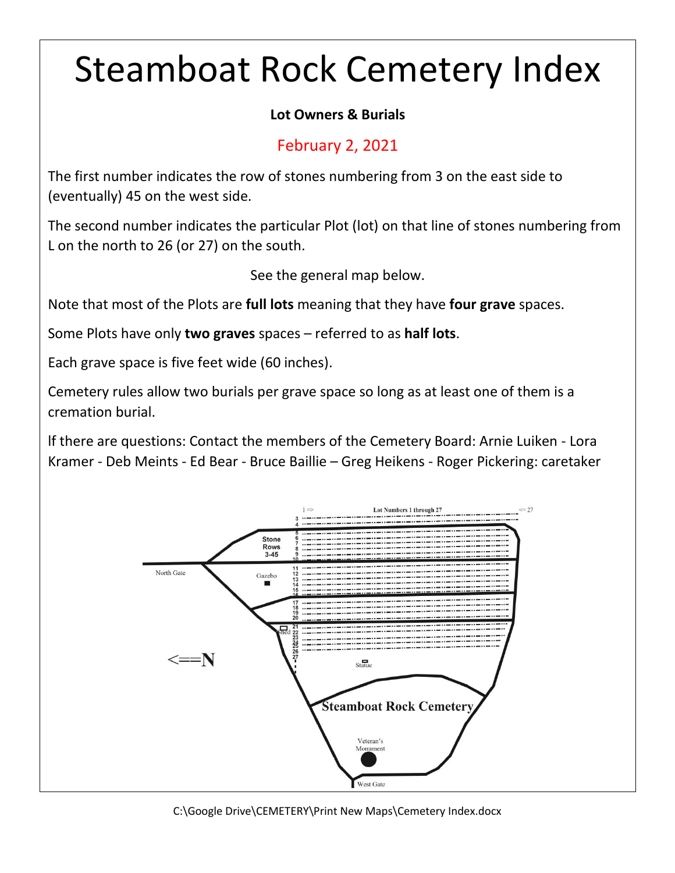## Steamboat Rock Cemetery Index

## **Lot Owners & Burials**

## February 2, 2021

The first number indicates the row of stones numbering from 3 on the east side to (eventually) 45 on the west side.

The second number indicates the particular Plot (lot) on that line of stones numbering from L on the north to 26 (or 27) on the south.

See the general map below.

Note that most of the Plots are **full lots** meaning that they have **four grave** spaces.

Some Plots have only **two graves** spaces – referred to as **half lots**.

Each grave space is five feet wide (60 inches).

Cemetery rules allow two burials per grave space so long as at least one of them is a cremation burial.

lf there are questions: Contact the members of the Cemetery Board: Arnie Luiken - Lora Kramer - Deb Meints - Ed Bear - Bruce Baillie – Greg Heikens - Roger Pickering: caretaker



C:\Google Drive\CEMETERY\Print New Maps\Cemetery Index.docx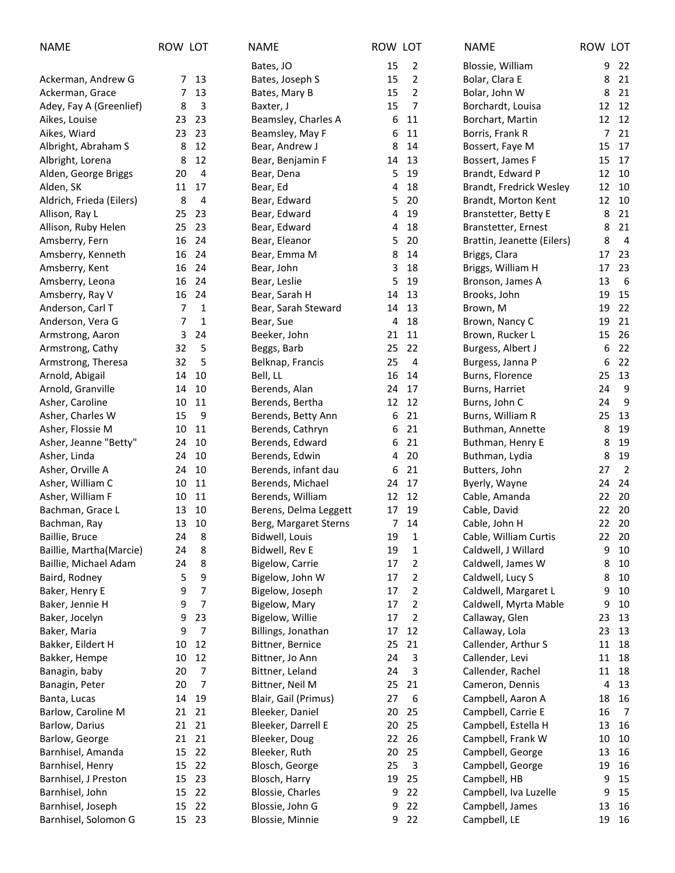| <b>NAME</b>              | ROW LOT |                | <b>NAME</b>           | ROW LOT        |                | <b>NAME</b>                | ROW LOT |                |
|--------------------------|---------|----------------|-----------------------|----------------|----------------|----------------------------|---------|----------------|
|                          |         |                | Bates, JO             | 15             | 2              | Blossie, William           | 9       | 22             |
| Ackerman, Andrew G       | 7       | 13             | Bates, Joseph S       | 15             | 2              | Bolar, Clara E             | 8       | 21             |
| Ackerman, Grace          | 7       | 13             | Bates, Mary B         | 15             | 2              | Bolar, John W              | 8       | 21             |
| Adey, Fay A (Greenlief)  | 8       | 3              | Baxter, J             | 15             | $\overline{7}$ | Borchardt, Louisa          | 12      | 12             |
| Aikes, Louise            | 23      | 23             | Beamsley, Charles A   | 6              | 11             | Borchart, Martin           | 12      | 12             |
| Aikes, Wiard             | 23      | 23             | Beamsley, May F       | 6              | 11             | Borris, Frank R            | 7       | 21             |
| Albright, Abraham S      | 8       | 12             | Bear, Andrew J        | 8              | 14             | Bossert, Faye M            | 15      | 17             |
| Albright, Lorena         | 8       | 12             | Bear, Benjamin F      | 14             | 13             | Bossert, James F           | 15      | 17             |
| Alden, George Briggs     | 20      | 4              | Bear, Dena            | 5              | 19             | Brandt, Edward P           | 12      | 10             |
| Alden, SK                | 11      | 17             | Bear, Ed              | 4              | 18             | Brandt, Fredrick Wesley    | 12      | 10             |
| Aldrich, Frieda (Eilers) | 8       | 4              | Bear, Edward          | 5              | 20             | Brandt, Morton Kent        | 12      | 10             |
| Allison, Ray L           | 25      | 23             | Bear, Edward          | 4              | 19             | Branstetter, Betty E       | 8       | 21             |
| Allison, Ruby Helen      | 25      | 23             | Bear, Edward          | 4              | 18             | Branstetter, Ernest        | 8       | 21             |
| Amsberry, Fern           | 16      | 24             | Bear, Eleanor         | 5              | 20             | Brattin, Jeanette (Eilers) | 8       | $\overline{4}$ |
| Amsberry, Kenneth        | 16      | 24             | Bear, Emma M          | 8              | 14             | Briggs, Clara              | 17      | 23             |
| Amsberry, Kent           | 16      | 24             | Bear, John            | 3              | 18             | Briggs, William H          | 17      | 23             |
| Amsberry, Leona          | 16      | 24             | Bear, Leslie          | 5              | 19             | Bronson, James A           | 13      | 6              |
| Amsberry, Ray V          | 16      | 24             | Bear, Sarah H         | 14             | 13             | Brooks, John               | 19      | 15             |
| Anderson, Carl T         | 7       | 1              | Bear, Sarah Steward   | 14             | 13             | Brown, M                   | 19      | 22             |
| Anderson, Vera G         | 7       | 1              | Bear, Sue             | 4              | 18             | Brown, Nancy C             | 19      | 21             |
| Armstrong, Aaron         | 3       | 24             | Beeker, John          | 21             | 11             | Brown, Rucker L            | 15      | 26             |
| Armstrong, Cathy         | 32      | 5              | Beggs, Barb           | 25             | 22             | Burgess, Albert J          | 6       | 22             |
| Armstrong, Theresa       | 32      | 5              | Belknap, Francis      | 25             | 4              | Burgess, Janna P           | 6       | 22             |
| Arnold, Abigail          | 14      | 10             | Bell, LL              | 16             | 14             | Burns, Florence            | 25      | 13             |
| Arnold, Granville        | 14      | 10             | Berends, Alan         | 24             | 17             | Burns, Harriet             | 24      | 9              |
| Asher, Caroline          | 10      | 11             | Berends, Bertha       | 12             | 12             | Burns, John C              | 24      | 9              |
| Asher, Charles W         | 15      | 9              | Berends, Betty Ann    | 6              | 21             | Burns, William R           | 25      | 13             |
| Asher, Flossie M         | 10      | 11             | Berends, Cathryn      | 6              | 21             | Buthman, Annette           | 8       | 19             |
| Asher, Jeanne "Betty"    | 24      | 10             | Berends, Edward       | 6              | 21             | Buthman, Henry E           | 8       | 19             |
| Asher, Linda             | 24      | 10             | Berends, Edwin        | 4              | 20             | Buthman, Lydia             | 8       | 19             |
| Asher, Orville A         | 24      | 10             | Berends, infant dau   | 6              | 21             | Butters, John              | 27      | $\overline{2}$ |
| Asher, William C         | 10      | 11             | Berends, Michael      | 24             | 17             | Byerly, Wayne              | 24      | 24             |
| Asher, William F         | 10      | 11             | Berends, William      | 12             | 12             | Cable, Amanda              | 22      | 20             |
| Bachman, Grace L         | 13      | 10             | Berens, Delma Leggett | 17             | 19             | Cable, David               | 22      | -20            |
| Bachman, Ray             | 13      | 10             | Berg, Margaret Sterns | $\overline{7}$ | 14             | Cable, John H              | 22 20   |                |
| Baillie, Bruce           | 24      | 8              | Bidwell, Louis        | 19             | $\mathbf{1}$   | Cable, William Curtis      | 22 20   |                |
| Baillie, Martha(Marcie)  | 24      | 8              | Bidwell, Rev E        | 19             | 1              | Caldwell, J Willard        | 9       | 10             |
| Baillie, Michael Adam    | 24      | 8              | Bigelow, Carrie       | 17             | 2              | Caldwell, James W          | 8       | 10             |
| Baird, Rodney            | 5       | 9              | Bigelow, John W       | 17             | 2              | Caldwell, Lucy S           | 8       | 10             |
| Baker, Henry E           | 9       | 7              | Bigelow, Joseph       | 17             | 2              | Caldwell, Margaret L       | 9       | 10             |
| Baker, Jennie H          | 9       | 7              | Bigelow, Mary         | 17             | $\overline{2}$ | Caldwell, Myrta Mable      | 9       | 10             |
| Baker, Jocelyn           | 9       | 23             | Bigelow, Willie       | 17             | $\overline{2}$ | Callaway, Glen             | 23      | 13             |
| Baker, Maria             | 9       | $\overline{7}$ | Billings, Jonathan    | 17             | 12             | Callaway, Lola             | 23      | 13             |
| Bakker, Eildert H        | 10      | 12             | Bittner, Bernice      | 25             | 21             | Callender, Arthur S        | 11      | 18             |
| Bakker, Hempe            | 10      | 12             | Bittner, Jo Ann       | 24             | 3              | Callender, Levi            | 11      | 18             |
| Banagin, baby            | 20      | $\overline{7}$ | Bittner, Leland       | 24             | 3              | Callender, Rachel          | 11      | 18             |
| Banagin, Peter           | 20      | 7              | Bittner, Neil M       | 25             | 21             | Cameron, Dennis            | 4       | 13             |
| Banta, Lucas             | 14      | 19             | Blair, Gail (Primus)  | 27             | 6              | Campbell, Aaron A          | 18      | 16             |
| Barlow, Caroline M       | 21      | 21             | Bleeker, Daniel       | 20             | 25             | Campbell, Carrie E         | 16      | $\overline{7}$ |
| Barlow, Darius           | 21      | 21             | Bleeker, Darrell E    | 20             | 25             | Campbell, Estella H        | 13      | 16             |
| Barlow, George           | 21      | 21             | Bleeker, Doug         | 22             | 26             | Campbell, Frank W          | 10      | 10             |
| Barnhisel, Amanda        | 15      | 22             | Bleeker, Ruth         | 20             | 25             | Campbell, George           | 13      | 16             |
| Barnhisel, Henry         | 15      | 22             | Blosch, George        | 25             | 3              | Campbell, George           | 19      | 16             |
| Barnhisel, J Preston     | 15      | 23             | Blosch, Harry         | 19             | 25             | Campbell, HB               | 9       | 15             |
| Barnhisel, John          | 15      | 22             | Blossie, Charles      | 9              | 22             | Campbell, Iva Luzelle      | 9       | 15             |
| Barnhisel, Joseph        | 15      | 22             | Blossie, John G       | 9              | 22             | Campbell, James            | 13      | 16             |
| Barnhisel, Solomon G     |         | 15 23          | Blossie, Minnie       | 9              | 22             | Campbell, LE               | 19      | 16             |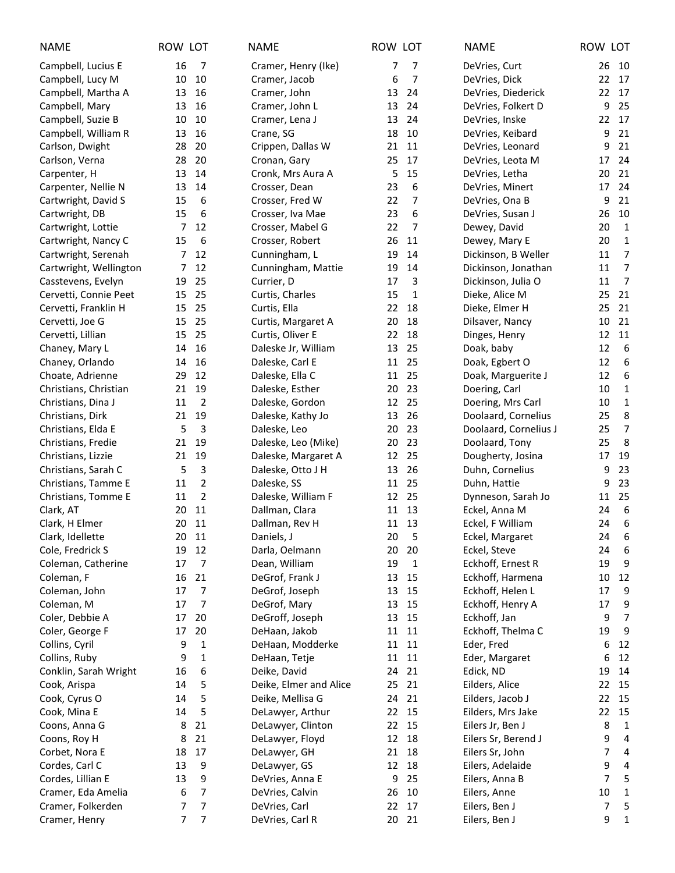| <b>NAME</b>            | ROW LOT |                | <b>NAME</b>            | ROW LOT            | <b>NAME</b>           | ROW LOT                |
|------------------------|---------|----------------|------------------------|--------------------|-----------------------|------------------------|
| Campbell, Lucius E     | 16      | $\overline{7}$ | Cramer, Henry (Ike)    | 7<br>7             | DeVries, Curt         | 26<br>10               |
| Campbell, Lucy M       | 10      | 10             | Cramer, Jacob          | 7<br>6             | DeVries, Dick         | 22<br>17               |
| Campbell, Martha A     | 13      | 16             | Cramer, John           | 24<br>13           | DeVries, Diederick    | 22<br>17               |
| Campbell, Mary         | 13      | 16             | Cramer, John L         | 13<br>24           | DeVries, Folkert D    | 25<br>9                |
| Campbell, Suzie B      | 10      | 10             | Cramer, Lena J         | 13<br>24           | DeVries, Inske        | 22<br>17               |
| Campbell, William R    | 13      | 16             | Crane, SG              | 18<br>10           | DeVries, Keibard      | 21<br>9                |
| Carlson, Dwight        | 28      | 20             | Crippen, Dallas W      | 21<br>11           | DeVries, Leonard      | 9<br>21                |
| Carlson, Verna         | 28      | 20             | Cronan, Gary           | 25<br>17           | DeVries, Leota M      | 24<br>17               |
| Carpenter, H           | 13      | 14             | Cronk, Mrs Aura A      | 15<br>5            | DeVries, Letha        | 21<br>20               |
| Carpenter, Nellie N    | 13      | 14             | Crosser, Dean          | 6<br>23            | DeVries, Minert       | 24<br>17               |
| Cartwright, David S    | 15      | 6              | Crosser, Fred W        | 22<br>7            | DeVries, Ona B        | 21<br>9                |
| Cartwright, DB         | 15      | 6              | Crosser, Iva Mae       | 6<br>23            | DeVries, Susan J      | 26<br>10               |
| Cartwright, Lottie     | 7       | 12             | Crosser, Mabel G       | 22<br>7            | Dewey, David          | 20<br>$\mathbf 1$      |
| Cartwright, Nancy C    | 15      | 6              | Crosser, Robert        | 26<br>11           | Dewey, Mary E         | $\mathbf{1}$<br>20     |
| Cartwright, Serenah    | 7       | 12             | Cunningham, L          | 14<br>19           | Dickinson, B Weller   | $\overline{7}$<br>11   |
| Cartwright, Wellington | 7       | 12             | Cunningham, Mattie     | 19<br>14           | Dickinson, Jonathan   | $\overline{7}$<br>11   |
| Casstevens, Evelyn     | 19      | 25             | Currier, D             | 17<br>3            | Dickinson, Julia O    | $\overline{7}$<br>11   |
| Cervetti, Connie Peet  | 15      | 25             | Curtis, Charles        | 15<br>1            | Dieke, Alice M        | 21<br>25               |
| Cervetti, Franklin H   | 15      | 25             | Curtis, Ella           | 22<br>18           | Dieke, Elmer H        | 21<br>25               |
| Cervetti, Joe G        | 15      | 25             | Curtis, Margaret A     | 20<br>18           | Dilsaver, Nancy       | 10<br>21               |
| Cervetti, Lillian      | 15      | 25             | Curtis, Oliver E       | 22<br>18           | Dinges, Henry         | 11<br>12               |
| Chaney, Mary L         | 14      | 16             | Daleske Jr, William    | 25<br>13           | Doak, baby            | 12<br>6                |
| Chaney, Orlando        | 14      | 16             | Daleske, Carl E        | 11 25              | Doak, Egbert O        | $\boldsymbol{6}$<br>12 |
| Choate, Adrienne       | 29      | 12             | Daleske, Ella C        | 11<br>25           | Doak, Marguerite J    | $\boldsymbol{6}$<br>12 |
| Christians, Christian  | 21      | 19             | Daleske, Esther        | 20<br>23           | Doering, Carl         | 10<br>$\mathbf{1}$     |
| Christians, Dina J     | 11      | 2              | Daleske, Gordon        | 12<br>25           | Doering, Mrs Carl     | 10<br>$\mathbf 1$      |
| Christians, Dirk       | 21      | 19             | Daleske, Kathy Jo      | 26<br>13           | Doolaard, Cornelius   | 8<br>25                |
| Christians, Elda E     | 5       | 3              | Daleske, Leo           | 20<br>23           | Doolaard, Cornelius J | $\overline{7}$<br>25   |
| Christians, Fredie     | 21      | 19             | Daleske, Leo (Mike)    | 23<br>20           | Doolaard, Tony        | 8<br>25                |
| Christians, Lizzie     | 21      | 19             | Daleske, Margaret A    | 12<br>25           | Dougherty, Josina     | 19<br>17               |
| Christians, Sarah C    | 5       | 3              | Daleske, Otto J H      | 13<br>26           | Duhn, Cornelius       | 23<br>9                |
| Christians, Tamme E    | 11      | $\overline{2}$ | Daleske, SS            | 11<br>25           | Duhn, Hattie          | 23<br>9                |
| Christians, Tomme E    | 11      | $\overline{2}$ | Daleske, William F     | 12 25              | Dynneson, Sarah Jo    | 11<br>25               |
| Clark, AT              | 20      | 11             | Dallman, Clara         | 11 13              | Eckel, Anna M         | 6<br>24                |
| Clark, H Elmer         | 20 11   |                | Dallman, Rev H         | 11 13              | Eckel, F William      | $6\,$<br>24            |
| Clark, Idellette       | 20 11   |                | Daniels, J             | 20 <sub>5</sub>    | Eckel, Margaret       | 24 6                   |
| Cole, Fredrick S       | 19      | 12             | Darla, Oelmann         | 20<br>20           | Eckel, Steve          | 6<br>24                |
| Coleman, Catherine     | 17      | $\overline{7}$ | Dean, William          | 19<br>$\mathbf{1}$ | Eckhoff, Ernest R     | 9<br>19                |
| Coleman, F             | 16      | 21             | DeGrof, Frank J        | 13<br>15           | Eckhoff, Harmena      | 12<br>10               |
| Coleman, John          | 17      | 7              | DeGrof, Joseph         | 13<br>15           | Eckhoff, Helen L      | 9<br>17                |
| Coleman, M             | 17      | $\overline{7}$ | DeGrof, Mary           | 13<br>15           | Eckhoff, Henry A      | 9<br>17                |
| Coler, Debbie A        | 17      | 20             | DeGroff, Joseph        | 13<br>15           | Eckhoff, Jan          | 7<br>9                 |
| Coler, George F        | 17      | 20             | DeHaan, Jakob          | 11<br>11           | Eckhoff, Thelma C     | 9<br>19                |
| Collins, Cyril         | 9       | 1              | DeHaan, Modderke       | 11<br>11           | Eder, Fred            | 12<br>6                |
| Collins, Ruby          | 9       | 1              | DeHaan, Tetje          | 11 11              | Eder, Margaret        | 12<br>6                |
| Conklin, Sarah Wright  | 16      | 6              | Deike, David           | 21<br>24           | Edick, ND             | 14<br>19               |
| Cook, Arispa           | 14      | 5              | Deike, Elmer and Alice | 21<br>25           | Eilders, Alice        | 15<br>22               |
| Cook, Cyrus O          | 14      | 5              | Deike, Mellisa G       | 21<br>24           | Eilders, Jacob J      | 22<br>15               |
| Cook, Mina E           | 14      | 5              | DeLawyer, Arthur       | 22 15              | Eilders, Mrs Jake     | 22<br>15               |
| Coons, Anna G          | 8       | 21             | DeLawyer, Clinton      | 22 15              | Eilers Jr, Ben J      | 8<br>1                 |
| Coons, Roy H           | 8       | 21             | DeLawyer, Floyd        | 12<br>18           | Eilers Sr, Berend J   | 9<br>4                 |
| Corbet, Nora E         | 18      | 17             | DeLawyer, GH           | 18<br>21           | Eilers Sr, John       | 7<br>4                 |
| Cordes, Carl C         | 13      | 9              | DeLawyer, GS           | 12<br>18           | Eilers, Adelaide      | 9<br>4                 |
| Cordes, Lillian E      | 13      | 9              | DeVries, Anna E        | 9<br>25            | Eilers, Anna B        | 7<br>5                 |
| Cramer, Eda Amelia     | 6       | 7              | DeVries, Calvin        | 10<br>26           | Eilers, Anne          | 10<br>1                |
| Cramer, Folkerden      | 7       | 7              | DeVries, Carl          | 17<br>22           | Eilers, Ben J         | 5<br>7                 |
| Cramer, Henry          | 7       | 7              | DeVries, Carl R        | 20 21              | Eilers, Ben J         | 9<br>$\mathbf{1}$      |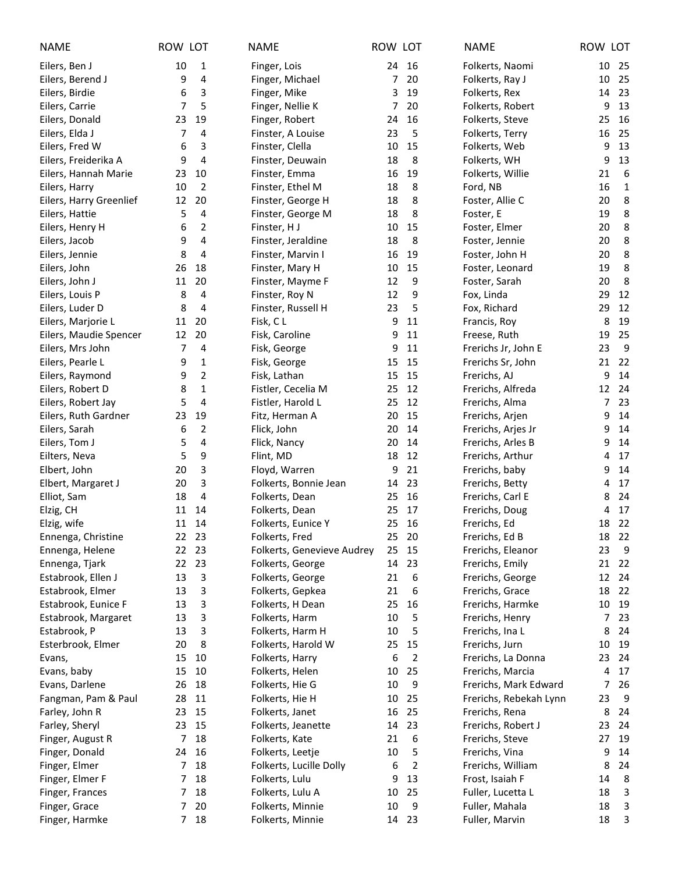| <b>NAME</b>             | ROW LOT |                | <b>NAME</b>                | ROW LOT        |                | <b>NAME</b>            | ROW LOT |              |
|-------------------------|---------|----------------|----------------------------|----------------|----------------|------------------------|---------|--------------|
| Eilers, Ben J           | 10      | 1              | Finger, Lois               | 24             | 16             | Folkerts, Naomi        | 10      | 25           |
| Eilers, Berend J        | 9       | 4              | Finger, Michael            | 7              | 20             | Folkerts, Ray J        | 10      | 25           |
| Eilers, Birdie          | 6       | 3              | Finger, Mike               | 3              | 19             | Folkerts, Rex          | 14      | 23           |
| Eilers, Carrie          | 7       | 5              | Finger, Nellie K           | $\overline{7}$ | 20             | Folkerts, Robert       | 9       | 13           |
| Eilers, Donald          | 23      | 19             | Finger, Robert             | 24             | 16             | Folkerts, Steve        | 25      | 16           |
| Eilers, Elda J          | 7       | 4              | Finster, A Louise          | 23             | 5              | Folkerts, Terry        | 16      | 25           |
| Eilers, Fred W          | 6       | 3              | Finster, Clella            | 10             | 15             | Folkerts, Web          | 9       | 13           |
| Eilers, Freiderika A    | 9       | 4              | Finster, Deuwain           | 18             | 8              | Folkerts, WH           | 9       | 13           |
| Eilers, Hannah Marie    | 23      | 10             | Finster, Emma              | 16             | 19             | Folkerts, Willie       | 21      | 6            |
| Eilers, Harry           | 10      | 2              | Finster, Ethel M           | 18             | 8              | Ford, NB               | 16      | $\mathbf{1}$ |
| Eilers, Harry Greenlief | 12      | 20             | Finster, George H          | 18             | 8              | Foster, Allie C        | 20      | 8            |
| Eilers, Hattie          | 5       | 4              | Finster, George M          | 18             | 8              | Foster, E              | 19      | 8            |
| Eilers, Henry H         | 6       | 2              | Finster, HJ                | 10             | 15             | Foster, Elmer          | 20      | 8            |
| Eilers, Jacob           | 9       | 4              | Finster, Jeraldine         | 18             | 8              | Foster, Jennie         | 20      | 8            |
| Eilers, Jennie          | 8       | 4              | Finster, Marvin I          | 16             | 19             | Foster, John H         | 20      | 8            |
| Eilers, John            | 26      | 18             | Finster, Mary H            | 10             | 15             | Foster, Leonard        | 19      | 8            |
| Eilers, John J          | 11      | 20             | Finster, Mayme F           | 12             | 9              | Foster, Sarah          | 20      | 8            |
| Eilers, Louis P         | 8       | 4              | Finster, Roy N             | 12             | 9              | Fox, Linda             | 29      | 12           |
| Eilers, Luder D         | 8       | 4              | Finster, Russell H         | 23             | 5              | Fox, Richard           | 29      | 12           |
| Eilers, Marjorie L      | 11      | 20             | Fisk, CL                   | 9              | 11             | Francis, Roy           | 8       | 19           |
| Eilers, Maudie Spencer  | 12      | 20             | Fisk, Caroline             | 9              | 11             | Freese, Ruth           | 19      | 25           |
| Eilers, Mrs John        | 7       | 4              | Fisk, George               | 9              | 11             | Frerichs Jr, John E    | 23      | 9            |
| Eilers, Pearle L        | 9       | $\mathbf{1}$   | Fisk, George               | 15             | 15             | Frerichs Sr, John      | 21      | 22           |
| Eilers, Raymond         | 9       | $\overline{2}$ | Fisk, Lathan               | 15             | 15             | Frerichs, AJ           | 9       | 14           |
| Eilers, Robert D        | 8       | 1              | Fistler, Cecelia M         | 25             | 12             | Frerichs, Alfreda      | 12      | 24           |
| Eilers, Robert Jay      | 5       | 4              | Fistler, Harold L          | 25             | 12             | Frerichs, Alma         | 7       | 23           |
| Eilers, Ruth Gardner    | 23      | 19             | Fitz, Herman A             | 20             | 15             | Frerichs, Arjen        | 9       | 14           |
| Eilers, Sarah           | 6       | 2              | Flick, John                | 20             | 14             | Frerichs, Arjes Jr     | 9       | 14           |
| Eilers, Tom J           | 5       | 4              | Flick, Nancy               | 20             | 14             | Frerichs, Arles B      | 9       | 14           |
| Eilters, Neva           | 5       | 9              | Flint, MD                  | 18             | 12             | Frerichs, Arthur       | 4       | 17           |
| Elbert, John            | 20      | 3              | Floyd, Warren              | 9              | 21             | Frerichs, baby         | 9       | 14           |
| Elbert, Margaret J      | 20      | 3              | Folkerts, Bonnie Jean      | 14             | 23             | Frerichs, Betty        | 4       | 17           |
| Elliot, Sam             | 18      | 4              | Folkerts, Dean             | 25             | 16             | Frerichs, Carl E       | 8       | 24           |
| Elzig, CH               | 11      | 14             | Folkerts, Dean             | 25             | 17             | Frerichs, Doug         | 4       | 17           |
| Elzig, wife             |         | 11 14          | Folkerts, Eunice Y         | 25             | 16             | Frerichs, Ed           |         | 18 22        |
| Ennenga, Christine      |         | 22 23          | Folkerts, Fred             |                | 25 20          | Frerichs, Ed B         |         | 18 22        |
| Ennenga, Helene         | 22      | 23             | Folkerts, Genevieve Audrey | 25             | 15             | Frerichs, Eleanor      | 23      | 9            |
| Ennenga, Tjark          | 22      | 23             | Folkerts, George           | 14             | 23             | Frerichs, Emily        | 21      | 22           |
| Estabrook, Ellen J      | 13      | 3              | Folkerts, George           | 21             | 6              | Frerichs, George       | 12      | 24           |
| Estabrook, Elmer        | 13      | 3              | Folkerts, Gepkea           | 21             | 6              | Frerichs, Grace        | 18      | 22           |
| Estabrook, Eunice F     | 13      | 3              | Folkerts, H Dean           | 25             | 16             | Frerichs, Harmke       | 10      | 19           |
| Estabrook, Margaret     | 13      | 3              | Folkerts, Harm             | 10             | 5              | Frerichs, Henry        | 7       | 23           |
| Estabrook, P            | 13      | 3              | Folkerts, Harm H           | 10             | 5              | Frerichs, Ina L        | 8       | 24           |
| Esterbrook, Elmer       | 20      | 8              | Folkerts, Harold W         | 25             | 15             | Frerichs, Jurn         | 10      | 19           |
| Evans,                  | 15      | 10             | Folkerts, Harry            | 6              | 2              | Frerichs, La Donna     | 23      | 24           |
| Evans, baby             | 15      | 10             | Folkerts, Helen            | 10             | 25             | Frerichs, Marcia       | 4       | 17           |
| Evans, Darlene          | 26      | 18             | Folkerts, Hie G            | 10             | 9              | Frerichs, Mark Edward  | 7       | 26           |
| Fangman, Pam & Paul     | 28      | 11             | Folkerts, Hie H            | 10             | 25             | Frerichs, Rebekah Lynn | 23      | 9            |
| Farley, John R          | 23      | 15             | Folkerts, Janet            | 16             | 25             | Frerichs, Rena         | 8       | 24           |
| Farley, Sheryl          | 23      | 15             | Folkerts, Jeanette         | 14             | 23             | Frerichs, Robert J     | 23      | 24           |
| Finger, August R        | 7       | 18             | Folkerts, Kate             | 21             | 6              | Frerichs, Steve        | 27      | 19           |
| Finger, Donald          | 24      | 16             | Folkerts, Leetje           | 10             | 5              | Frerichs, Vina         | 9       | 14           |
| Finger, Elmer           | 7       | 18             | Folkerts, Lucille Dolly    | 6              | $\overline{2}$ | Frerichs, William      | 8       | 24           |
| Finger, Elmer F         | 7       | 18             | Folkerts, Lulu             | 9              | 13             | Frost, Isaiah F        | 14      | 8            |
| Finger, Frances         | 7       | 18             | Folkerts, Lulu A           | 10             | 25             | Fuller, Lucetta L      | 18      | 3            |
| Finger, Grace           | 7       | 20             | Folkerts, Minnie           | 10             | 9              | Fuller, Mahala         | 18      | 3            |
| Finger, Harmke          | 7       | 18             | Folkerts, Minnie           | 14             | 23             | Fuller, Marvin         | 18      | 3            |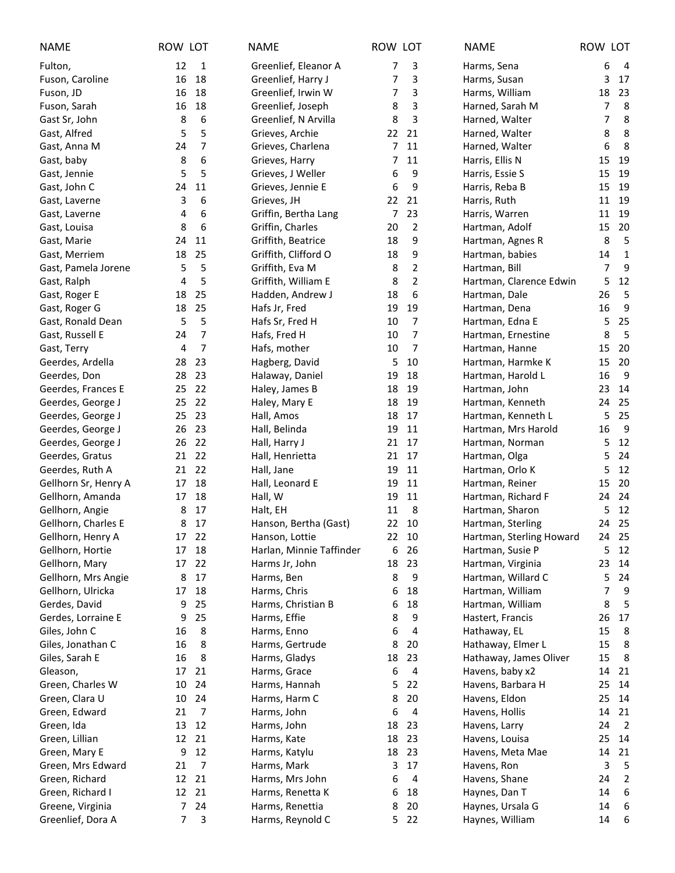| <b>NAME</b>          | ROW LOT |                | <b>NAME</b>              | ROW LOT |                | <b>NAME</b>              | ROW LOT |                |
|----------------------|---------|----------------|--------------------------|---------|----------------|--------------------------|---------|----------------|
| Fulton,              | 12      | 1              | Greenlief, Eleanor A     | 7       | 3              | Harms, Sena              | 6       | $\overline{4}$ |
| Fuson, Caroline      | 16      | 18             | Greenlief, Harry J       | 7       | 3              | Harms, Susan             | 3       | 17             |
| Fuson, JD            | 16      | 18             | Greenlief, Irwin W       | 7       | 3              | Harms, William           | 18      | 23             |
| Fuson, Sarah         | 16      | 18             | Greenlief, Joseph        | 8       | 3              | Harned, Sarah M          | 7       | 8              |
| Gast Sr, John        | 8       | 6              | Greenlief, N Arvilla     | 8       | 3              | Harned, Walter           | 7       | 8              |
| Gast, Alfred         | 5       | 5              | Grieves, Archie          | 22      | 21             | Harned, Walter           | 8       | 8              |
| Gast, Anna M         | 24      | 7              | Grieves, Charlena        | 7       | 11             | Harned, Walter           | 6       | 8              |
| Gast, baby           | 8       | 6              | Grieves, Harry           | 7       | 11             | Harris, Ellis N          | 15      | 19             |
| Gast, Jennie         | 5       | 5              | Grieves, J Weller        | 6       | 9              | Harris, Essie S          | 15      | 19             |
| Gast, John C         | 24      | 11             | Grieves, Jennie E        | 6       | 9              | Harris, Reba B           | 15      | 19             |
| Gast, Laverne        | 3       | 6              | Grieves, JH              | 22      | 21             | Harris, Ruth             | 11      | 19             |
| Gast, Laverne        | 4       | 6              | Griffin, Bertha Lang     | 7       | 23             | Harris, Warren           | 11      | 19             |
| Gast, Louisa         | 8       | 6              | Griffin, Charles         | 20      | 2              | Hartman, Adolf           | 15      | 20             |
| Gast, Marie          | 24      | 11             | Griffith, Beatrice       | 18      | 9              | Hartman, Agnes R         | 8       | 5              |
| Gast, Merriem        | 18      | 25             | Griffith, Clifford O     | 18      | 9              | Hartman, babies          | 14      | $\mathbf 1$    |
| Gast, Pamela Jorene  | 5       | 5              | Griffith, Eva M          | 8       | $\overline{2}$ | Hartman, Bill            | 7       | 9              |
| Gast, Ralph          | 4       | 5              | Griffith, William E      | 8       | $\mathbf 2$    | Hartman, Clarence Edwin  | 5       | 12             |
| Gast, Roger E        | 18      | 25             | Hadden, Andrew J         | 18      | 6              | Hartman, Dale            | 26      | 5              |
| Gast, Roger G        | 18      | 25             | Hafs Jr, Fred            | 19      | 19             | Hartman, Dena            | 16      | 9              |
| Gast, Ronald Dean    | 5       | 5              | Hafs Sr, Fred H          | 10      | 7              | Hartman, Edna E          | 5       | 25             |
| Gast, Russell E      | 24      | $\overline{7}$ | Hafs, Fred H             | 10      | 7              | Hartman, Ernestine       | 8       | 5              |
| Gast, Terry          | 4       | 7              | Hafs, mother             | 10      | 7              | Hartman, Hanne           | 15      | 20             |
| Geerdes, Ardella     | 28      | 23             | Hagberg, David           | 5       | 10             | Hartman, Harmke K        | 15      | 20             |
| Geerdes, Don         | 28      | 23             | Halaway, Daniel          | 19      | 18             | Hartman, Harold L        | 16      | 9              |
| Geerdes, Frances E   | 25      | 22             | Haley, James B           | 18      | 19             | Hartman, John            | 23      | 14             |
| Geerdes, George J    | 25      | 22             | Haley, Mary E            | 18      | 19             | Hartman, Kenneth         | 24      | 25             |
| Geerdes, George J    | 25      | 23             | Hall, Amos               | 18      | 17             | Hartman, Kenneth L       | 5       | 25             |
| Geerdes, George J    | 26      | 23             | Hall, Belinda            | 19      | 11             | Hartman, Mrs Harold      | 16      | 9              |
| Geerdes, George J    | 26      | 22             | Hall, Harry J            | 21      | 17             | Hartman, Norman          | 5       | 12             |
| Geerdes, Gratus      | 21      | 22             | Hall, Henrietta          | 21      | 17             | Hartman, Olga            | 5       | 24             |
| Geerdes, Ruth A      | 21      | 22             | Hall, Jane               | 19      | 11             | Hartman, Orlo K          | 5       | 12             |
| Gellhorn Sr, Henry A | 17      | 18             | Hall, Leonard E          | 19      | 11             | Hartman, Reiner          | 15      | 20             |
| Gellhorn, Amanda     | 17      | 18             | Hall, W                  | 19      | 11             | Hartman, Richard F       | 24      | 24             |
| Gellhorn, Angie      | 8       | 17             | Halt, EH                 | 11      | 8              | Hartman, Sharon          | 5       | 12             |
| Gellhorn, Charles E  | 8       | 17             | Hanson, Bertha (Gast)    |         | 22 10          | Hartman, Sterling        |         | 24 25          |
| Gellhorn, Henry A    |         | 17 22          | Hanson, Lottie           |         | 22 10          | Hartman, Sterling Howard |         | 24 25          |
| Gellhorn, Hortie     | 17      | 18             | Harlan, Minnie Taffinder | 6       | 26             | Hartman, Susie P         | 5       | 12             |
| Gellhorn, Mary       | 17      | 22             | Harms Jr, John           | 18      | 23             | Hartman, Virginia        | 23      | 14             |
| Gellhorn, Mrs Angie  | 8       | 17             | Harms, Ben               | 8       | 9              | Hartman, Willard C       | 5       | 24             |
| Gellhorn, Ulricka    | 17      | 18             | Harms, Chris             | 6       | 18             | Hartman, William         | 7       | 9              |
| Gerdes, David        | 9       | 25             | Harms, Christian B       | 6       | 18             | Hartman, William         | 8       | 5              |
| Gerdes, Lorraine E   | 9       | 25             | Harms, Effie             | 8       | 9              | Hastert, Francis         | 26      | 17             |
| Giles, John C        | 16      | 8              | Harms, Enno              | 6       | 4              | Hathaway, EL             | 15      | 8              |
| Giles, Jonathan C    | 16      | 8              | Harms, Gertrude          | 8       | 20             | Hathaway, Elmer L        | 15      | 8              |
| Giles, Sarah E       | 16      | 8              | Harms, Gladys            | 18      | 23             | Hathaway, James Oliver   | 15      | 8              |
| Gleason,             | 17      | 21             | Harms, Grace             | 6       | 4              | Havens, baby x2          | 14      | 21             |
| Green, Charles W     | 10      | 24             | Harms, Hannah            | 5       | 22             | Havens, Barbara H        | 25      | 14             |
| Green, Clara U       | 10      | 24             | Harms, Harm C            | 8       | 20             | Havens, Eldon            | 25      | 14             |
| Green, Edward        | 21      | 7              | Harms, John              | 6       | 4              | Havens, Hollis           | 14      | 21             |
| Green, Ida           | 13      | 12             | Harms, John              | 18      | 23             | Havens, Larry            | 24      | $\overline{2}$ |
| Green, Lillian       | 12      | 21             | Harms, Kate              | 18      | 23             | Havens, Louisa           | 25      | 14             |
| Green, Mary E        | 9       | 12             | Harms, Katylu            | 18      | 23             | Havens, Meta Mae         | 14      | 21             |
| Green, Mrs Edward    | 21      | 7              | Harms, Mark              | 3       | 17             | Havens, Ron              | 3       | 5              |
| Green, Richard       | 12      | 21             | Harms, Mrs John          | 6       | 4              | Havens, Shane            | 24      | $\overline{2}$ |
| Green, Richard I     | 12      | 21             | Harms, Renetta K         | 6       | 18             | Haynes, Dan T            | 14      | 6              |
| Greene, Virginia     | 7       | 24             | Harms, Renettia          | 8       | 20             | Haynes, Ursala G         | 14      | 6              |
| Greenlief, Dora A    | 7       | 3              | Harms, Reynold C         | 5       | 22             | Haynes, William          | 14      | 6              |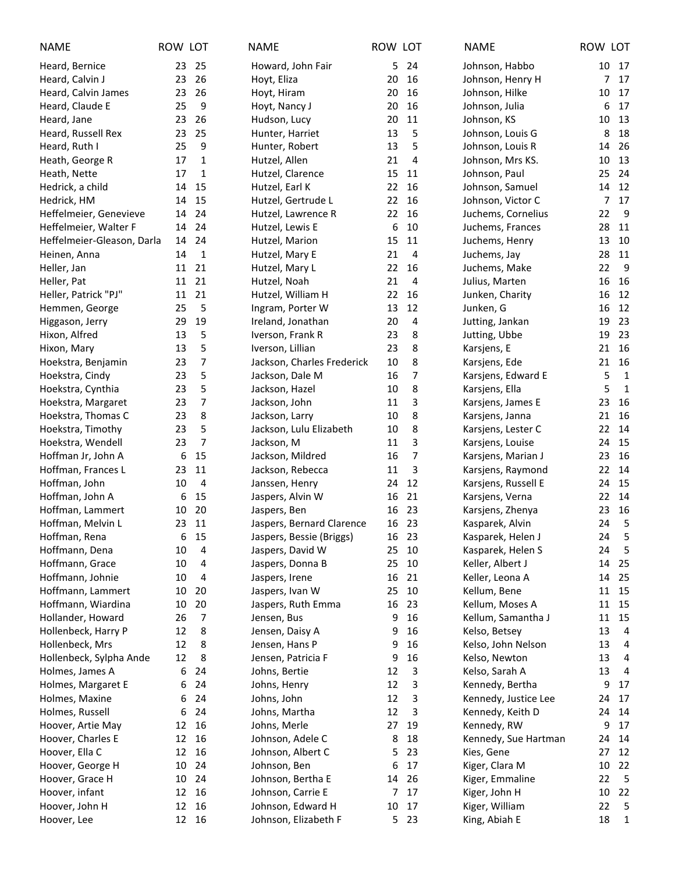| <b>NAME</b>                | ROW LOT |                | <b>NAME</b>                | ROW LOT |       | <b>NAME</b>          | ROW LOT            |
|----------------------------|---------|----------------|----------------------------|---------|-------|----------------------|--------------------|
| Heard, Bernice             | 23      | 25             | Howard, John Fair          | 5       | 24    | Johnson, Habbo       | 10<br>17           |
| Heard, Calvin J            | 23      | 26             | Hoyt, Eliza                | 20      | 16    | Johnson, Henry H     | 17<br>7            |
| Heard, Calvin James        | 23      | 26             | Hoyt, Hiram                | 20      | 16    | Johnson, Hilke       | 17<br>10           |
| Heard, Claude E            | 25      | 9              | Hoyt, Nancy J              | 20      | 16    | Johnson, Julia       | 17<br>6            |
| Heard, Jane                | 23      | 26             | Hudson, Lucy               | 20      | 11    | Johnson, KS          | 13<br>10           |
| Heard, Russell Rex         | 23      | 25             | Hunter, Harriet            | 13      | 5     | Johnson, Louis G     | 18<br>8            |
| Heard, Ruth I              | 25      | 9              | Hunter, Robert             | 13      | 5     | Johnson, Louis R     | 26<br>14           |
| Heath, George R            | 17      | $\mathbf{1}$   | Hutzel, Allen              | 21      | 4     | Johnson, Mrs KS.     | 13<br>10           |
| Heath, Nette               | 17      | 1              | Hutzel, Clarence           | 15      | 11    | Johnson, Paul        | 24<br>25           |
| Hedrick, a child           | 14      | 15             | Hutzel, Earl K             | 22      | 16    | Johnson, Samuel      | 12<br>14           |
| Hedrick, HM                | 14      | 15             | Hutzel, Gertrude L         | 22      | 16    | Johnson, Victor C    | 17<br>7            |
| Heffelmeier, Genevieve     | 14      | 24             | Hutzel, Lawrence R         | 22      | 16    | Juchems, Cornelius   | 9<br>22            |
| Heffelmeier, Walter F      | 14      | 24             | Hutzel, Lewis E            | 6       | 10    | Juchems, Frances     | 11<br>28           |
| Heffelmeier-Gleason, Darla | 14      | 24             | Hutzel, Marion             | 15      | 11    | Juchems, Henry       | 10<br>13           |
| Heinen, Anna               | 14      | $\mathbf{1}$   | Hutzel, Mary E             | 21      | 4     | Juchems, Jay         | 11<br>28           |
| Heller, Jan                | 11      | 21             | Hutzel, Mary L             | 22      | 16    | Juchems, Make        | 9<br>22            |
| Heller, Pat                | 11      | 21             | Hutzel, Noah               | 21      | 4     | Julius, Marten       | 16<br>16           |
| Heller, Patrick "PJ"       | 11      | 21             | Hutzel, William H          | 22      | 16    | Junken, Charity      | 12<br>16           |
| Hemmen, George             | 25      | 5              | Ingram, Porter W           | 13      | 12    | Junken, G            | 12<br>16           |
| Higgason, Jerry            | 29      | 19             | Ireland, Jonathan          | 20      | 4     | Jutting, Jankan      | 23<br>19           |
| Hixon, Alfred              | 13      | 5              | Iverson, Frank R           | 23      | 8     | Jutting, Ubbe        | 23<br>19           |
| Hixon, Mary                | 13      | 5              | Iverson, Lillian           | 23      | 8     | Karsjens, E          | 16<br>21           |
| Hoekstra, Benjamin         | 23      | $\overline{7}$ | Jackson, Charles Frederick | 10      | 8     | Karsjens, Ede        | 21<br>16           |
| Hoekstra, Cindy            | 23      | 5              | Jackson, Dale M            | 16      | 7     | Karsjens, Edward E   | 5<br>$\mathbf{1}$  |
| Hoekstra, Cynthia          | 23      | 5              | Jackson, Hazel             | 10      | 8     | Karsjens, Ella       | 5<br>$\mathbf{1}$  |
| Hoekstra, Margaret         | 23      | 7              | Jackson, John              | 11      | 3     | Karsjens, James E    | 16<br>23           |
| Hoekstra, Thomas C         | 23      | 8              | Jackson, Larry             | 10      | 8     | Karsjens, Janna      | 16<br>21           |
| Hoekstra, Timothy          | 23      | 5              | Jackson, Lulu Elizabeth    | 10      | 8     | Karsjens, Lester C   | 14<br>22           |
| Hoekstra, Wendell          | 23      | $\overline{7}$ | Jackson, M                 | 11      | 3     | Karsjens, Louise     | 15<br>24           |
| Hoffman Jr, John A         | 6       | 15             | Jackson, Mildred           | 16      | 7     | Karsjens, Marian J   | 16<br>23           |
| Hoffman, Frances L         | 23      | 11             | Jackson, Rebecca           | 11      | 3     | Karsjens, Raymond    | 22<br>14           |
| Hoffman, John              | 10      | 4              | Janssen, Henry             | 24      | 12    | Karsjens, Russell E  | 15<br>24           |
| Hoffman, John A            | 6       | 15             | Jaspers, Alvin W           | 16      | 21    | Karsjens, Verna      | 22<br>14           |
| Hoffman, Lammert           | 10      | 20             | Jaspers, Ben               | 16      | 23    | Karsjens, Zhenya     | 16<br>23           |
| Hoffman, Melvin L          | 23      | 11             | Jaspers, Bernard Clarence  |         | 16 23 | Kasparek, Alvin      | 24<br>5            |
| Hoffman, Rena              |         | 6 15           | Jaspers, Bessie (Briggs)   |         | 16 23 | Kasparek, Helen J    | 24<br>5            |
| Hoffmann, Dena             | 10      | 4              | Jaspers, David W           | 25      | 10    | Kasparek, Helen S    | 5<br>24            |
| Hoffmann, Grace            | 10      | 4              | Jaspers, Donna B           | 25      | 10    | Keller, Albert J     | 25<br>14           |
| Hoffmann, Johnie           | 10      | 4              | Jaspers, Irene             | 16      | 21    | Keller, Leona A      | 25<br>14           |
| Hoffmann, Lammert          | 10      | 20             | Jaspers, Ivan W            | 25      | 10    | Kellum, Bene         | 15<br>11           |
| Hoffmann, Wiardina         | 10      | 20             | Jaspers, Ruth Emma         | 16      | 23    | Kellum, Moses A      | 15<br>11           |
| Hollander, Howard          | 26      | 7              | Jensen, Bus                | 9       | 16    | Kellum, Samantha J   | 15<br>11           |
| Hollenbeck, Harry P        | 12      | 8              | Jensen, Daisy A            | 9       | 16    | Kelso, Betsey        | 13<br>4            |
| Hollenbeck, Mrs            | 12      | 8              | Jensen, Hans P             | 9       | 16    | Kelso, John Nelson   | 13<br>4            |
| Hollenbeck, Sylpha Ande    | 12      | 8              | Jensen, Patricia F         | 9       | 16    | Kelso, Newton        | 13<br>4            |
| Holmes, James A            | 6       | 24             | Johns, Bertie              | 12      | 3     | Kelso, Sarah A       | 13<br>4            |
| Holmes, Margaret E         | 6       | 24             | Johns, Henry               | 12      | 3     | Kennedy, Bertha      | 17<br>9            |
| Holmes, Maxine             | 6       | 24             | Johns, John                | 12      | 3     | Kennedy, Justice Lee | 17<br>24           |
| Holmes, Russell            | 6       | 24             | Johns, Martha              | 12      | 3     | Kennedy, Keith D     | 24<br>14           |
| Hoover, Artie May          | 12      | 16             | Johns, Merle               | 27      | 19    | Kennedy, RW          | 9<br>17            |
| Hoover, Charles E          | 12      | 16             | Johnson, Adele C           | 8       | 18    | Kennedy, Sue Hartman | 24<br>14           |
| Hoover, Ella C             | 12      | 16             | Johnson, Albert C          | 5       | 23    | Kies, Gene           | 27<br>12           |
| Hoover, George H           | 10      | 24             | Johnson, Ben               | 6       | 17    | Kiger, Clara M       | 10<br>22           |
| Hoover, Grace H            | 10      | 24             | Johnson, Bertha E          | 14      | 26    | Kiger, Emmaline      | 5<br>22            |
| Hoover, infant             | 12      | 16             | Johnson, Carrie E          | 7       | 17    | Kiger, John H        | 10<br>22           |
| Hoover, John H             | 12      | 16             | Johnson, Edward H          | 10      | 17    | Kiger, William       | 5<br>22            |
| Hoover, Lee                | 12      | 16             | Johnson, Elizabeth F       | 5       | 23    | King, Abiah E        | 18<br>$\mathbf{1}$ |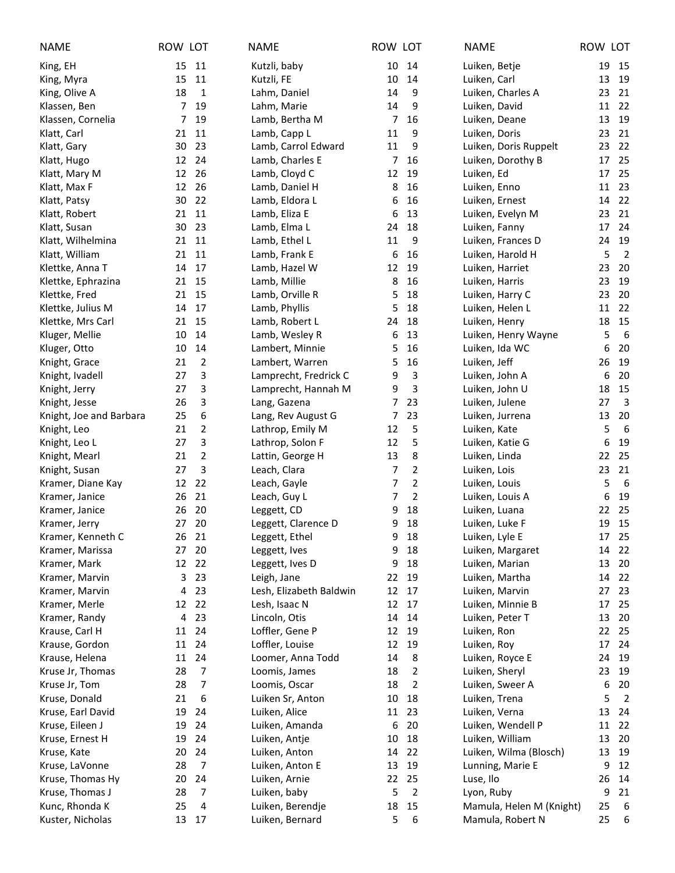| <b>NAME</b>                              | ROW LOT  |                | <b>NAME</b>                         | ROW LOT |                | <b>NAME</b>                      | ROW LOT |                |
|------------------------------------------|----------|----------------|-------------------------------------|---------|----------------|----------------------------------|---------|----------------|
| King, EH                                 | 15       | 11             | Kutzli, baby                        | 10      | 14             | Luiken, Betje                    | 19      | 15             |
| King, Myra                               | 15       | 11             | Kutzli, FE                          | 10      | 14             | Luiken, Carl                     | 13      | 19             |
| King, Olive A                            | 18       | $\mathbf{1}$   | Lahm, Daniel                        | 14      | 9              | Luiken, Charles A                | 23      | 21             |
| Klassen, Ben                             | 7        | 19             | Lahm, Marie                         | 14      | 9              | Luiken, David                    | 11      | 22             |
| Klassen, Cornelia                        | 7        | 19             | Lamb, Bertha M                      | 7       | 16             | Luiken, Deane                    | 13      | 19             |
| Klatt, Carl                              | 21       | 11             | Lamb, Capp L                        | 11      | 9              | Luiken, Doris                    | 23      | 21             |
| Klatt, Gary                              | 30       | 23             | Lamb, Carrol Edward                 | 11      | 9              | Luiken, Doris Ruppelt            | 23      | 22             |
| Klatt, Hugo                              | 12       | 24             | Lamb, Charles E                     | 7       | 16             | Luiken, Dorothy B                | 17      | 25             |
| Klatt, Mary M                            | 12       | 26             | Lamb, Cloyd C                       | 12      | 19             | Luiken, Ed                       | 17      | 25             |
| Klatt, Max F                             | 12       | 26             | Lamb, Daniel H                      | 8       | 16             | Luiken, Enno                     | 11      | 23             |
| Klatt, Patsy                             | 30       | 22             | Lamb, Eldora L                      | 6       | 16             | Luiken, Ernest                   | 14      | 22             |
| Klatt, Robert                            | 21       | 11             | Lamb, Eliza E                       | 6       | 13             | Luiken, Evelyn M                 | 23      | 21             |
| Klatt, Susan                             | 30       | 23             | Lamb, Elma L                        | 24      | 18             | Luiken, Fanny                    | 17      | 24             |
| Klatt, Wilhelmina                        | 21       | 11             | Lamb, Ethel L                       | 11      | 9              | Luiken, Frances D                | 24      | 19             |
| Klatt, William                           | 21       | 11             | Lamb, Frank E                       | 6       | 16             | Luiken, Harold H                 | 5       | $\overline{2}$ |
| Klettke, Anna T                          | 14       | 17             | Lamb, Hazel W                       | 12      | 19             | Luiken, Harriet                  | 23      | 20             |
| Klettke, Ephrazina                       | 21       | 15             | Lamb, Millie                        | 8       | 16             | Luiken, Harris                   | 23      | 19             |
| Klettke, Fred                            | 21       | 15             | Lamb, Orville R                     | 5       | 18             | Luiken, Harry C                  | 23      | 20             |
| Klettke, Julius M                        | 14       | 17             | Lamb, Phyllis                       | 5       | 18             | Luiken, Helen L                  | 11      | 22             |
| Klettke, Mrs Carl                        | 21       | 15             | Lamb, Robert L                      | 24      | 18             | Luiken, Henry                    | 18      | 15             |
| Kluger, Mellie                           | 10       | 14             | Lamb, Wesley R                      | 6       | 13             | Luiken, Henry Wayne              | 5       | 6              |
| Kluger, Otto                             | 10       | 14             | Lambert, Minnie                     | 5       | 16             | Luiken, Ida WC                   | 6       | 20             |
| Knight, Grace                            | 21<br>27 | $\overline{2}$ | Lambert, Warren                     | 5       | 16             | Luiken, Jeff                     | 26      | 19             |
| Knight, Ivadell                          | 27       | 3<br>3         | Lamprecht, Fredrick C               | 9<br>9  | 3<br>3         | Luiken, John A                   | 6<br>18 | 20<br>15       |
| Knight, Jerry                            | 26       | 3              | Lamprecht, Hannah M<br>Lang, Gazena | 7       | 23             | Luiken, John U<br>Luiken, Julene | 27      | $\overline{3}$ |
| Knight, Jesse<br>Knight, Joe and Barbara | 25       | 6              | Lang, Rev August G                  | 7       | 23             | Luiken, Jurrena                  | 13      | 20             |
| Knight, Leo                              | 21       | 2              | Lathrop, Emily M                    | 12      | 5              | Luiken, Kate                     | 5       | 6              |
| Knight, Leo L                            | 27       | 3              | Lathrop, Solon F                    | 12      | 5              | Luiken, Katie G                  | 6       | 19             |
| Knight, Mearl                            | 21       | 2              | Lattin, George H                    | 13      | 8              | Luiken, Linda                    | 22      | 25             |
| Knight, Susan                            | 27       | 3              | Leach, Clara                        | 7       | $\overline{2}$ | Luiken, Lois                     | 23      | 21             |
| Kramer, Diane Kay                        | 12       | 22             | Leach, Gayle                        | 7       | $\overline{2}$ | Luiken, Louis                    | 5       | 6              |
| Kramer, Janice                           | 26       | 21             | Leach, Guy L                        | 7       | $\overline{2}$ | Luiken, Louis A                  | 6       | 19             |
| Kramer, Janice                           | 26       | 20             | Leggett, CD                         | 9       | 18             | Luiken, Luana                    | 22      | 25             |
| Kramer, Jerry                            | 27       | 20             | Leggett, Clarence D                 | 9       | 18             | Luiken, Luke F                   | 19      | 15             |
| Kramer, Kenneth C                        | 26 21    |                | Leggett, Ethel                      | 9       | 18             | Luiken, Lyle E                   |         | 17 25          |
| Kramer, Marissa                          | 27       | 20             | Leggett, Ives                       | 9       | 18             | Luiken, Margaret                 | 14      | 22             |
| Kramer, Mark                             | 12       | 22             | Leggett, Ives D                     | 9       | 18             | Luiken, Marian                   | 13      | 20             |
| Kramer, Marvin                           | 3        | 23             | Leigh, Jane                         | 22      | 19             | Luiken, Martha                   | 14      | 22             |
| Kramer, Marvin                           | 4        | 23             | Lesh, Elizabeth Baldwin             | 12      | 17             | Luiken, Marvin                   | 27      | 23             |
| Kramer, Merle                            | 12       | 22             | Lesh, Isaac N                       | 12      | 17             | Luiken, Minnie B                 | 17      | 25             |
| Kramer, Randy                            | 4        | 23             | Lincoln, Otis                       | 14      | 14             | Luiken, Peter T                  | 13      | 20             |
| Krause, Carl H                           | 11       | 24             | Loffler, Gene P                     | 12      | 19             | Luiken, Ron                      | 22      | 25             |
| Krause, Gordon                           | 11       | 24             | Loffler, Louise                     | 12      | 19             | Luiken, Roy                      | 17      | 24             |
| Krause, Helena                           | 11       | 24             | Loomer, Anna Todd                   | 14      | 8              | Luiken, Royce E                  | 24      | 19             |
| Kruse Jr, Thomas                         | 28       | $\overline{7}$ | Loomis, James                       | 18      | 2              | Luiken, Sheryl                   | 23      | 19             |
| Kruse Jr, Tom                            | 28       | 7              | Loomis, Oscar                       | 18      | 2              | Luiken, Sweer A                  | 6       | 20             |
| Kruse, Donald                            | 21       | 6              | Luiken Sr, Anton                    | 10      | 18             | Luiken, Trena                    | 5       | $\overline{2}$ |
| Kruse, Earl David                        | 19       | 24             | Luiken, Alice                       | 11      | 23             | Luiken, Verna                    | 13      | 24             |
| Kruse, Eileen J                          | 19       | 24             | Luiken, Amanda                      | 6       | 20             | Luiken, Wendell P                | 11      | 22             |
| Kruse, Ernest H                          | 19       | 24             | Luiken, Antje                       | 10      | 18             | Luiken, William                  | 13      | 20             |
| Kruse, Kate                              | 20       | 24             | Luiken, Anton                       | 14      | -22            | Luiken, Wilma (Blosch)           | 13      | 19             |
| Kruse, LaVonne                           | 28       | $\overline{7}$ | Luiken, Anton E                     | 13      | 19             | Lunning, Marie E                 | 9       | 12             |
| Kruse, Thomas Hy                         | 20       | 24             | Luiken, Arnie                       | 22      | 25             | Luse, Ilo                        | 26      | 14             |
| Kruse, Thomas J                          | 28       | 7              | Luiken, baby                        | 5       | $\overline{2}$ | Lyon, Ruby                       | 9       | 21             |
| Kunc, Rhonda K                           | 25       | 4              | Luiken, Berendje                    | 18      | 15             | Mamula, Helen M (Knight)         | 25      | 6              |
| Kuster, Nicholas                         | 13       | 17             | Luiken, Bernard                     | 5       | 6              | Mamula, Robert N                 | 25      | 6              |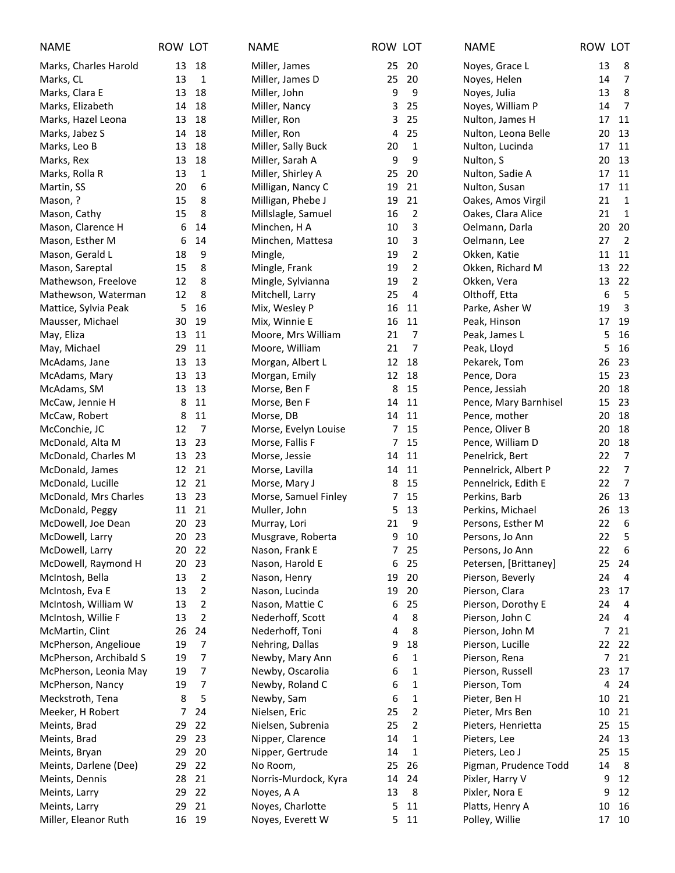| <b>NAME</b>            | ROW LOT |                  | <b>NAME</b>          | ROW LOT |                         | <b>NAME</b>           | ROW LOT |                |
|------------------------|---------|------------------|----------------------|---------|-------------------------|-----------------------|---------|----------------|
| Marks, Charles Harold  | 13      | 18               | Miller, James        | 25      | 20                      | Noyes, Grace L        | 13      | 8              |
| Marks, CL              | 13      | $\mathbf{1}$     | Miller, James D      | 25      | 20                      | Noyes, Helen          | 14      | $\overline{7}$ |
| Marks, Clara E         | 13      | 18               | Miller, John         | 9       | 9                       | Noyes, Julia          | 13      | 8              |
| Marks, Elizabeth       | 14      | 18               | Miller, Nancy        | 3       | 25                      | Noyes, William P      | 14      | $\overline{7}$ |
| Marks, Hazel Leona     | 13      | 18               | Miller, Ron          | 3       | 25                      | Nulton, James H       | 17      | 11             |
| Marks, Jabez S         | 14      | 18               | Miller, Ron          | 4       | 25                      | Nulton, Leona Belle   | 20      | 13             |
| Marks, Leo B           | 13      | 18               | Miller, Sally Buck   | 20      | 1                       | Nulton, Lucinda       | 17      | 11             |
| Marks, Rex             | 13      | 18               | Miller, Sarah A      | 9       | 9                       | Nulton, S             | 20      | 13             |
| Marks, Rolla R         | 13      | $\mathbf 1$      | Miller, Shirley A    | 25      | 20                      | Nulton, Sadie A       | 17      | 11             |
| Martin, SS             | 20      | $\boldsymbol{6}$ | Milligan, Nancy C    | 19      | 21                      | Nulton, Susan         | 17      | 11             |
| Mason, ?               | 15      | 8                | Milligan, Phebe J    | 19      | 21                      | Oakes, Amos Virgil    | 21      | $\overline{1}$ |
| Mason, Cathy           | 15      | 8                | Millslagle, Samuel   | 16      | $\overline{2}$          | Oakes, Clara Alice    | 21      | $\overline{1}$ |
| Mason, Clarence H      | 6       | 14               | Minchen, H A         | 10      | 3                       | Oelmann, Darla        | 20      | 20             |
| Mason, Esther M        | 6       | 14               | Minchen, Mattesa     | 10      | 3                       | Oelmann, Lee          | 27      | $\overline{2}$ |
| Mason, Gerald L        | 18      | 9                | Mingle,              | 19      | $\overline{\mathbf{c}}$ | Okken, Katie          | 11      | 11             |
| Mason, Sareptal        | 15      | 8                | Mingle, Frank        | 19      | $\overline{2}$          | Okken, Richard M      | 13      | 22             |
| Mathewson, Freelove    | 12      | 8                | Mingle, Sylvianna    | 19      | $\overline{2}$          | Okken, Vera           | 13      | 22             |
| Mathewson, Waterman    | 12      | 8                | Mitchell, Larry      | 25      | 4                       | Olthoff, Etta         | 6       | 5              |
| Mattice, Sylvia Peak   | 5       | 16               | Mix, Wesley P        | 16      | 11                      | Parke, Asher W        | 19      | 3              |
| Mausser, Michael       | 30      | 19               | Mix, Winnie E        | 16      | 11                      | Peak, Hinson          | 17      | 19             |
| May, Eliza             | 13      | 11               | Moore, Mrs William   | 21      | 7                       | Peak, James L         | 5       | 16             |
| May, Michael           | 29      | 11               | Moore, William       | 21      | 7                       | Peak, Lloyd           | 5       | 16             |
| McAdams, Jane          | 13      | 13               | Morgan, Albert L     | 12      | 18                      | Pekarek, Tom          | 26      | 23             |
| McAdams, Mary          | 13      | 13               | Morgan, Emily        | 12      | 18                      | Pence, Dora           | 15      | 23             |
| McAdams, SM            | 13      | 13               | Morse, Ben F         | 8       | 15                      | Pence, Jessiah        | 20      | 18             |
| McCaw, Jennie H        | 8       | 11               | Morse, Ben F         | 14      | 11                      | Pence, Mary Barnhisel | 15      | 23             |
| McCaw, Robert          | 8       | 11               | Morse, DB            | 14      | 11                      | Pence, mother         | 20      | 18             |
| McConchie, JC          | 12      | $\overline{7}$   | Morse, Evelyn Louise | 7       | 15                      | Pence, Oliver B       | 20      | 18             |
| McDonald, Alta M       | 13      | 23               | Morse, Fallis F      | 7       | 15                      | Pence, William D      | 20      | 18             |
| McDonald, Charles M    | 13      | 23               | Morse, Jessie        | 14      | 11                      | Penelrick, Bert       | 22      | $\overline{7}$ |
| McDonald, James        | 12      | 21               | Morse, Lavilla       | 14      | 11                      | Pennelrick, Albert P  | 22      | $\overline{7}$ |
| McDonald, Lucille      | 12      | 21               | Morse, Mary J        | 8       | 15                      | Pennelrick, Edith E   | 22      | $\overline{7}$ |
| McDonald, Mrs Charles  | 13      | 23               | Morse, Samuel Finley | 7       | 15                      | Perkins, Barb         | 26      | 13             |
| McDonald, Peggy        | 11      | 21               | Muller, John         | 5       | 13                      | Perkins, Michael      | 26      | 13             |
| McDowell, Joe Dean     | 20      | 23               | Murray, Lori         | 21      | 9                       | Persons, Esther M     | 22      | 6              |
| McDowell, Larry        |         | 20 23            | Musgrave, Roberta    |         | 9 10                    | Persons, Jo Ann       | 22      | 5              |
| McDowell, Larry        | 20      | 22               | Nason, Frank E       | 7       | 25                      | Persons, Jo Ann       | 22      | - 6            |
| McDowell, Raymond H    | 20      | 23               | Nason, Harold E      | 6       | 25                      | Petersen, [Brittaney] | 25      | 24             |
| McIntosh, Bella        | 13      | $\overline{2}$   | Nason, Henry         | 19      | 20                      | Pierson, Beverly      | 24      | $\overline{4}$ |
| McIntosh, Eva E        | 13      | 2                | Nason, Lucinda       | 19      | 20                      | Pierson, Clara        | 23      | 17             |
| McIntosh, William W    | 13      | $\overline{2}$   | Nason, Mattie C      | 6       | 25                      | Pierson, Dorothy E    | 24      | 4              |
| McIntosh, Willie F     | 13      | 2                | Nederhoff, Scott     | 4       | 8                       | Pierson, John C       | 24      | 4              |
| McMartin, Clint        | 26      | 24               | Nederhoff, Toni      | 4       | 8                       | Pierson, John M       | 7       | 21             |
| McPherson, Angelioue   | 19      | 7                | Nehring, Dallas      | 9       | 18                      | Pierson, Lucille      | 22      | 22             |
| McPherson, Archibald S | 19      | 7                | Newby, Mary Ann      | 6       | 1                       | Pierson, Rena         | 7       | 21             |
| McPherson, Leonia May  | 19      | 7                | Newby, Oscarolia     | 6       | 1                       | Pierson, Russell      | 23      | 17             |
| McPherson, Nancy       | 19      | 7                | Newby, Roland C      | 6       | 1                       | Pierson, Tom          | 4       | 24             |
| Meckstroth, Tena       | 8       | 5                | Newby, Sam           | 6       | 1                       | Pieter, Ben H         | 10      | 21             |
| Meeker, H Robert       | 7       | 24               | Nielsen, Eric        | 25      | 2                       | Pieter, Mrs Ben       | 10      | 21             |
| Meints, Brad           | 29      | 22               | Nielsen, Subrenia    | 25      | 2                       | Pieters, Henrietta    | 25      | 15             |
| Meints, Brad           | 29      | 23               | Nipper, Clarence     | 14      | 1                       | Pieters, Lee          | 24      | 13             |
| Meints, Bryan          | 29      | 20               | Nipper, Gertrude     | 14      | 1                       | Pieters, Leo J        | 25      | 15             |
| Meints, Darlene (Dee)  | 29      | 22               | No Room,             | 25      | 26                      | Pigman, Prudence Todd | 14      | 8              |
| Meints, Dennis         | 28      | 21               | Norris-Murdock, Kyra | 14      | 24                      | Pixler, Harry V       | 9       | 12             |
| Meints, Larry          | 29      | 22               | Noyes, A A           | 13      | 8                       | Pixler, Nora E        | 9       | 12             |
| Meints, Larry          | 29      | 21               | Noyes, Charlotte     | 5       | 11                      | Platts, Henry A       | 10      | 16             |
| Miller, Eleanor Ruth   | 16      | 19               | Noyes, Everett W     | 5       | 11                      | Polley, Willie        |         | 17 10          |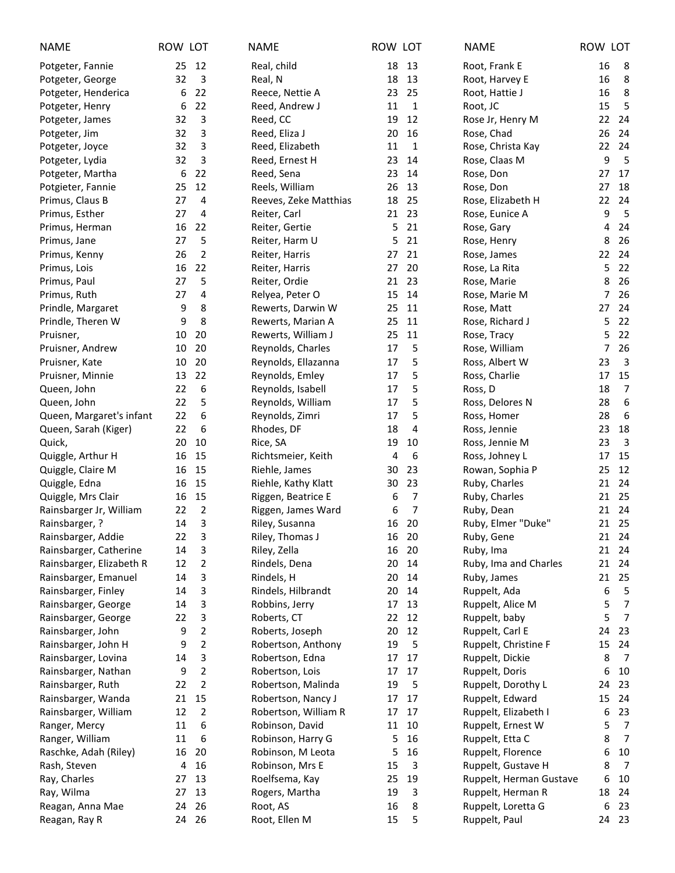| <b>NAME</b>              | ROW LOT |                     | <b>NAME</b>                        | ROW LOT  |                | <b>NAME</b>             | ROW LOT |                         |
|--------------------------|---------|---------------------|------------------------------------|----------|----------------|-------------------------|---------|-------------------------|
| Potgeter, Fannie         | 25      | 12                  | Real, child                        | 18       | 13             | Root, Frank E           | 16      | - 8                     |
| Potgeter, George         | 32      | 3                   | Real, N                            | 18       | 13             | Root, Harvey E          | 16      | 8                       |
| Potgeter, Henderica      | 6       | 22                  | Reece, Nettie A                    | 23       | 25             | Root, Hattie J          | 16      | 8                       |
| Potgeter, Henry          | 6       | 22                  | Reed, Andrew J                     | 11       | $\mathbf{1}$   | Root, JC                | 15      | 5                       |
| Potgeter, James          | 32      | 3                   | Reed, CC                           | 19       | 12             | Rose Jr, Henry M        | 22      | 24                      |
| Potgeter, Jim            | 32      | 3                   | Reed, Eliza J                      | 20       | 16             | Rose, Chad              | 26      | 24                      |
| Potgeter, Joyce          | 32      | 3                   | Reed, Elizabeth                    | 11       | 1              | Rose, Christa Kay       | 22      | 24                      |
| Potgeter, Lydia          | 32      | 3                   | Reed, Ernest H                     | 23       | 14             | Rose, Claas M           | 9       | 5                       |
| Potgeter, Martha         | 6       | 22                  | Reed, Sena                         | 23       | 14             | Rose, Don               | 27      | 17                      |
| Potgieter, Fannie        | 25      | 12                  | Reels, William                     | 26       | 13             | Rose, Don               | 27      | 18                      |
| Primus, Claus B          | 27      | 4                   | Reeves, Zeke Matthias              | 18       | 25             | Rose, Elizabeth H       | 22      | 24                      |
| Primus, Esther           | 27      | 4                   | Reiter, Carl                       | 21       | 23             | Rose, Eunice A          | 9       | 5                       |
| Primus, Herman           | 16      | 22                  | Reiter, Gertie                     | 5        | 21             | Rose, Gary              | 4       | 24                      |
| Primus, Jane             | 27      | 5                   | Reiter, Harm U                     | 5        | 21             | Rose, Henry             | 8       | 26                      |
| Primus, Kenny            | 26      | 2                   | Reiter, Harris                     | 27       | 21             | Rose, James             | 22      | 24                      |
| Primus, Lois             | 16      | 22                  | Reiter, Harris                     | 27       | 20             | Rose, La Rita           | 5       | 22                      |
| Primus, Paul             | 27      | 5                   | Reiter, Ordie                      | 21       | 23             | Rose, Marie             | 8       | 26                      |
| Primus, Ruth             | 27      | 4                   | Relyea, Peter O                    | 15       | 14             | Rose, Marie M           | 7       | 26                      |
| Prindle, Margaret        | 9       | 8                   | Rewerts, Darwin W                  | 25       | 11             | Rose, Matt              | 27      | 24                      |
| Prindle, Theren W        | 9       | 8                   | Rewerts, Marian A                  | 25       | 11             | Rose, Richard J         | 5       | 22                      |
| Pruisner,                | 10      | 20                  | Rewerts, William J                 | 25       | 11             | Rose, Tracy             | 5       | 22                      |
| Pruisner, Andrew         | 10      | 20                  | Reynolds, Charles                  | 17       | 5              | Rose, William           | 7       | 26                      |
| Pruisner, Kate           | 10      | 20                  | Reynolds, Ellazanna                | 17       | 5              | Ross, Albert W          | 23      | 3                       |
| Pruisner, Minnie         | 13      | 22                  | Reynolds, Emley                    | 17       | 5              | Ross, Charlie           | 17      | 15                      |
| Queen, John              | 22      | 6                   | Reynolds, Isabell                  | 17       | 5              | Ross, D                 | 18      | 7                       |
| Queen, John              | 22      | 5                   | Reynolds, William                  | 17       | 5              | Ross, Delores N         | 28      | $\boldsymbol{6}$        |
| Queen, Margaret's infant | 22      | $\boldsymbol{6}$    | Reynolds, Zimri                    | 17       | 5              | Ross, Homer             | 28      | 6                       |
| Queen, Sarah (Kiger)     | 22      | 6                   | Rhodes, DF                         | 18       | 4              | Ross, Jennie            | 23      | 18                      |
| Quick,                   | 20      | 10                  | Rice, SA                           | 19       | 10             | Ross, Jennie M          | 23      | $\overline{\mathbf{3}}$ |
| Quiggle, Arthur H        | 16      | 15                  | Richtsmeier, Keith                 | 4        | 6              | Ross, Johney L          | 17      | 15                      |
| Quiggle, Claire M        | 16      | 15                  | Riehle, James                      | 30       | 23             | Rowan, Sophia P         | 25      | 12                      |
| Quiggle, Edna            | 16      | 15                  | Riehle, Kathy Klatt                | 30       | 23             | Ruby, Charles           | 21      | 24                      |
| Quiggle, Mrs Clair       | 16      | 15                  | Riggen, Beatrice E                 | 6        | 7              | Ruby, Charles           | 21      | 25                      |
| Rainsbarger Jr, William  | 22      | $\overline{2}$      | Riggen, James Ward                 | 6        | $\overline{7}$ | Ruby, Dean              |         | 21 24                   |
| Rainsbarger, ?           | 14      | 3                   | Riley, Susanna                     | 16       | 20             | Ruby, Elmer "Duke"      |         | 21 25                   |
| Rainsbarger, Addie       | 22      | $\mathsf 3$         | Riley, Thomas J                    |          | 16 20          | Ruby, Gene              |         | 21 24                   |
| Rainsbarger, Catherine   | 14      | 3                   | Riley, Zella                       | 16       | 20             | Ruby, Ima               | 21      | 24                      |
| Rainsbarger, Elizabeth R | 12      | 2                   | Rindels, Dena                      | 20       | 14             | Ruby, Ima and Charles   | 21      | 24                      |
| Rainsbarger, Emanuel     | 14      | 3                   | Rindels, H                         | 20       | 14             | Ruby, James             | 21      | 25                      |
| Rainsbarger, Finley      | 14      | 3                   | Rindels, Hilbrandt                 | 20       | 14             | Ruppelt, Ada            | 6       | 5                       |
| Rainsbarger, George      | 14      | 3                   | Robbins, Jerry                     | 17       | 13             | Ruppelt, Alice M        | 5       | $\overline{7}$          |
| Rainsbarger, George      | 22      | 3                   | Roberts, CT                        | 22       | 12             | Ruppelt, baby           | 5       | $\overline{7}$          |
| Rainsbarger, John        | 9       | 2                   | Roberts, Joseph                    | 20       | 12             | Ruppelt, Carl E         | 24      | 23                      |
| Rainsbarger, John H      | 9       | 2                   | Robertson, Anthony                 | 19       | 5              | Ruppelt, Christine F    | 15      | 24                      |
|                          |         |                     |                                    |          | 17             |                         |         | 7                       |
| Rainsbarger, Lovina      | 14      | 3<br>$\overline{2}$ | Robertson, Edna<br>Robertson, Lois | 17       | 17             | Ruppelt, Dickie         | 8<br>6  | 10                      |
| Rainsbarger, Nathan      | 9<br>22 |                     |                                    | 17<br>19 |                | Ruppelt, Doris          | 24      | 23                      |
| Rainsbarger, Ruth        | 21      | 2<br>15             | Robertson, Malinda                 |          | 5              | Ruppelt, Dorothy L      | 15      | 24                      |
| Rainsbarger, Wanda       |         |                     | Robertson, Nancy J                 | 17       | 17             | Ruppelt, Edward         |         |                         |
| Rainsbarger, William     | 12      | $\overline{2}$      | Robertson, William R               | 17       | 17             | Ruppelt, Elizabeth I    | 6       | 23<br>$\overline{7}$    |
| Ranger, Mercy            | 11      | 6                   | Robinson, David                    | 11       | 10             | Ruppelt, Ernest W       | 5       |                         |
| Ranger, William          | 11      | 6                   | Robinson, Harry G                  | 5        | 16             | Ruppelt, Etta C         | 8       | 7                       |
| Raschke, Adah (Riley)    | 16      | 20                  | Robinson, M Leota                  | 5        | 16             | Ruppelt, Florence       | 6       | 10                      |
| Rash, Steven             | 4       | 16                  | Robinson, Mrs E                    | 15       | 3              | Ruppelt, Gustave H      | 8       | 7                       |
| Ray, Charles             | 27      | 13                  | Roelfsema, Kay                     | 25       | 19             | Ruppelt, Herman Gustave | 6       | 10                      |
| Ray, Wilma               | 27      | 13                  | Rogers, Martha                     | 19       | 3              | Ruppelt, Herman R       | 18      | 24                      |
| Reagan, Anna Mae         | 24      | 26                  | Root, AS                           | 16       | 8              | Ruppelt, Loretta G      | 6       | 23                      |
| Reagan, Ray R            | 24      | - 26                | Root, Ellen M                      | 15       | 5              | Ruppelt, Paul           |         | 24 23                   |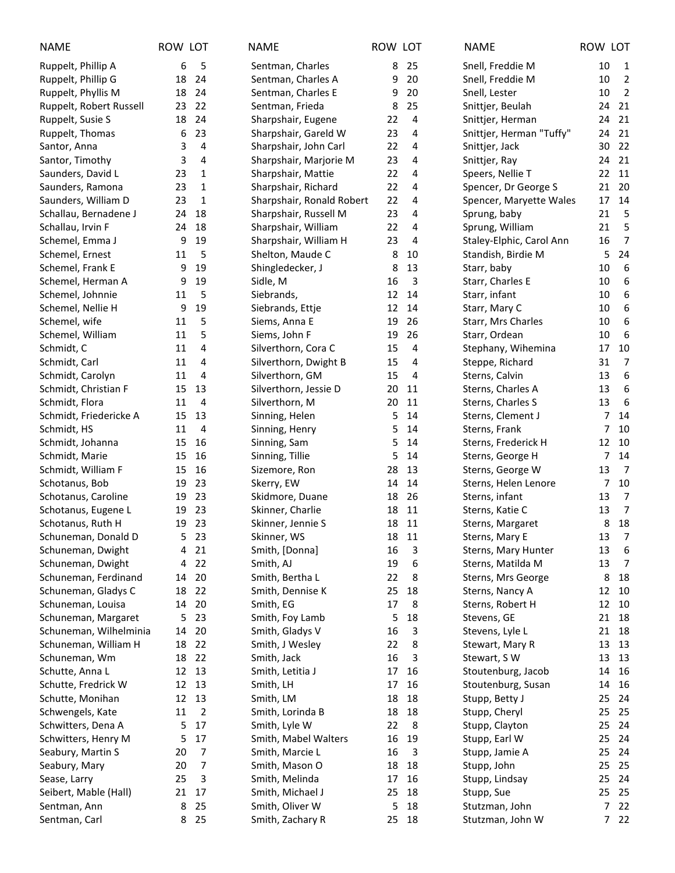| <b>NAME</b>             | ROW LOT |                 | <b>NAME</b>               | ROW LOT |                | <b>NAME</b>              | ROW LOT |                  |
|-------------------------|---------|-----------------|---------------------------|---------|----------------|--------------------------|---------|------------------|
| Ruppelt, Phillip A      | 6       | 5               | Sentman, Charles          | 8       | 25             | Snell, Freddie M         | 10      | $\mathbf{1}$     |
| Ruppelt, Phillip G      | 18      | 24              | Sentman, Charles A        | 9       | 20             | Snell, Freddie M         | 10      | $\overline{2}$   |
| Ruppelt, Phyllis M      | 18      | -24             | Sentman, Charles E        | 9       | 20             | Snell, Lester            | 10      | $\overline{2}$   |
| Ruppelt, Robert Russell | 23      | 22              | Sentman, Frieda           | 8       | 25             | Snittjer, Beulah         | 24      | 21               |
| Ruppelt, Susie S        | 18      | 24              | Sharpshair, Eugene        | 22      | $\overline{4}$ | Snittjer, Herman         | 24      | 21               |
| Ruppelt, Thomas         | 6       | 23              | Sharpshair, Gareld W      | 23      | 4              | Snittjer, Herman "Tuffy" | 24      | 21               |
| Santor, Anna            | 3       | 4               | Sharpshair, John Carl     | 22      | 4              | Snittjer, Jack           | 30      | 22               |
| Santor, Timothy         | 3       | 4               | Sharpshair, Marjorie M    | 23      | 4              | Snittjer, Ray            | 24      | 21               |
| Saunders, David L       | 23      | $\mathbf{1}$    | Sharpshair, Mattie        | 22      | 4              | Speers, Nellie T         | 22      | 11               |
| Saunders, Ramona        | 23      | $\mathbf{1}$    | Sharpshair, Richard       | 22      | 4              | Spencer, Dr George S     | 21      | 20               |
| Saunders, William D     | 23      | $\mathbf{1}$    | Sharpshair, Ronald Robert | 22      | 4              | Spencer, Maryette Wales  | 17      | 14               |
| Schallau, Bernadene J   | 24      | 18              | Sharpshair, Russell M     | 23      | 4              | Sprung, baby             | 21      | 5                |
| Schallau, Irvin F       | 24      | 18              | Sharpshair, William       | 22      | 4              | Sprung, William          | 21      | 5                |
| Schemel, Emma J         | 9       | 19              | Sharpshair, William H     | 23      | 4              | Staley-Elphic, Carol Ann | 16      | $\overline{7}$   |
| Schemel, Ernest         | 11      | 5               | Shelton, Maude C          | 8       | 10             | Standish, Birdie M       | 5       | 24               |
| Schemel, Frank E        | 9       | 19              | Shingledecker, J          | 8       | 13             | Starr, baby              | 10      | 6                |
| Schemel, Herman A       | 9       | 19              | Sidle, M                  | 16      | 3              | Starr, Charles E         | 10      | $\boldsymbol{6}$ |
| Schemel, Johnnie        | 11      | 5               | Siebrands,                | 12      | 14             | Starr, infant            | 10      | 6                |
| Schemel, Nellie H       | 9       | 19              | Siebrands, Ettje          | 12      | 14             | Starr, Mary C            | 10      | 6                |
| Schemel, wife           | 11      | 5               | Siems, Anna E             | 19      | 26             | Starr, Mrs Charles       | 10      | 6                |
| Schemel, William        | 11      | 5               | Siems, John F             | 19      | 26             | Starr, Ordean            | 10      | 6                |
| Schmidt, C              | 11      | 4               | Silverthorn, Cora C       | 15      | 4              | Stephany, Wihemina       | 17      | 10               |
| Schmidt, Carl           | 11      | 4               | Silverthorn, Dwight B     | 15      | 4              | Steppe, Richard          | 31      | 7                |
| Schmidt, Carolyn        | 11      | 4               | Silverthorn, GM           | 15      | $\overline{4}$ | Sterns, Calvin           | 13      | 6                |
| Schmidt, Christian F    | 15      | 13              | Silverthorn, Jessie D     | 20      | 11             | Sterns, Charles A        | 13      | 6                |
| Schmidt, Flora          | 11      | 4               | Silverthorn, M            | 20      | 11             | Sterns, Charles S        | 13      | 6                |
| Schmidt, Friedericke A  | 15      | 13              | Sinning, Helen            | 5       | 14             | Sterns, Clement J        | 7       | 14               |
| Schmidt, HS             | 11      | 4               | Sinning, Henry            | 5       | 14             | Sterns, Frank            | 7       | 10               |
| Schmidt, Johanna        | 15      | 16              | Sinning, Sam              | 5       | 14             | Sterns, Frederick H      | 12      | 10               |
| Schmidt, Marie          | 15      | 16              | Sinning, Tillie           | 5       | 14             | Sterns, George H         | 7       | 14               |
| Schmidt, William F      | 15      | 16              | Sizemore, Ron             | 28      | 13             | Sterns, George W         | 13      | $\overline{7}$   |
| Schotanus, Bob          | 19      | 23              | Skerry, EW                | 14      | 14             | Sterns, Helen Lenore     | 7       | 10               |
| Schotanus, Caroline     | 19      | 23              | Skidmore, Duane           | 18      | 26             | Sterns, infant           | 13      | $\overline{7}$   |
| Schotanus, Eugene L     | 19      | 23              | Skinner, Charlie          | 18      | 11             | Sterns, Katie C          | 13      | $\overline{7}$   |
| Schotanus, Ruth H       | 19      | 23              | Skinner, Jennie S         | 18      | 11             | Sterns, Margaret         | 8       | 18               |
| Schuneman, Donald D     |         | 5 <sub>23</sub> | Skinner, WS               |         | 18 11          | Sterns, Mary E           | 13      | $\overline{7}$   |
| Schuneman, Dwight       | 4       | 21              | Smith, [Donna]            | 16      | 3              | Sterns, Mary Hunter      | 13      | 6                |
| Schuneman, Dwight       | 4       | 22              | Smith, AJ                 | 19      | 6              | Sterns, Matilda M        | 13      | $\overline{7}$   |
| Schuneman, Ferdinand    | 14      | 20              | Smith, Bertha L           | 22      | 8              | Sterns, Mrs George       | 8       | 18               |
| Schuneman, Gladys C     | 18      | 22              | Smith, Dennise K          | 25      | 18             | Sterns, Nancy A          | 12      | 10               |
| Schuneman, Louisa       | 14      | 20              | Smith, EG                 | 17      | 8              | Sterns, Robert H         | 12      | 10               |
| Schuneman, Margaret     | 5       | 23              | Smith, Foy Lamb           | 5       | 18             | Stevens, GE              | 21      | 18               |
| Schuneman, Wilhelminia  | 14      | 20              | Smith, Gladys V           | 16      | 3              | Stevens, Lyle L          | 21      | 18               |
| Schuneman, William H    | 18      | 22              | Smith, J Wesley           | 22      | 8              | Stewart, Mary R          | 13      | 13               |
| Schuneman, Wm           | 18      | 22              | Smith, Jack               | 16      | 3              | Stewart, SW              | 13      | 13               |
| Schutte, Anna L         | 12      | 13              | Smith, Letitia J          | 17      | 16             | Stoutenburg, Jacob       | 14      | 16               |
| Schutte, Fredrick W     | 12      | 13              | Smith, LH                 | 17      | 16             | Stoutenburg, Susan       | 14      | 16               |
| Schutte, Monihan        | 12      | 13              | Smith, LM                 | 18      | 18             | Stupp, Betty J           | 25      | 24               |
| Schwengels, Kate        | 11      | $\overline{2}$  | Smith, Lorinda B          | 18      | 18             | Stupp, Cheryl            | 25      | 25               |
| Schwitters, Dena A      | 5       | 17              | Smith, Lyle W             | 22      | 8              | Stupp, Clayton           | 25      | 24               |
| Schwitters, Henry M     | 5       | 17              | Smith, Mabel Walters      | 16      | 19             | Stupp, Earl W            | 25      | 24               |
| Seabury, Martin S       | 20      | 7               | Smith, Marcie L           | 16      | 3              | Stupp, Jamie A           | 25      | 24               |
| Seabury, Mary           | 20      | 7               | Smith, Mason O            | 18      | 18             | Stupp, John              | 25      | 25               |
| Sease, Larry            | 25      | 3               | Smith, Melinda            | 17      | 16             | Stupp, Lindsay           | 25      | 24               |
| Seibert, Mable (Hall)   | 21      | 17              | Smith, Michael J          | 25      | 18             | Stupp, Sue               | 25      | 25               |
| Sentman, Ann            | 8       | 25              | Smith, Oliver W           | 5       | 18             | Stutzman, John           | 7       | 22               |
| Sentman, Carl           | 8       | 25              | Smith, Zachary R          |         | 25 18          | Stutzman, John W         |         | 722              |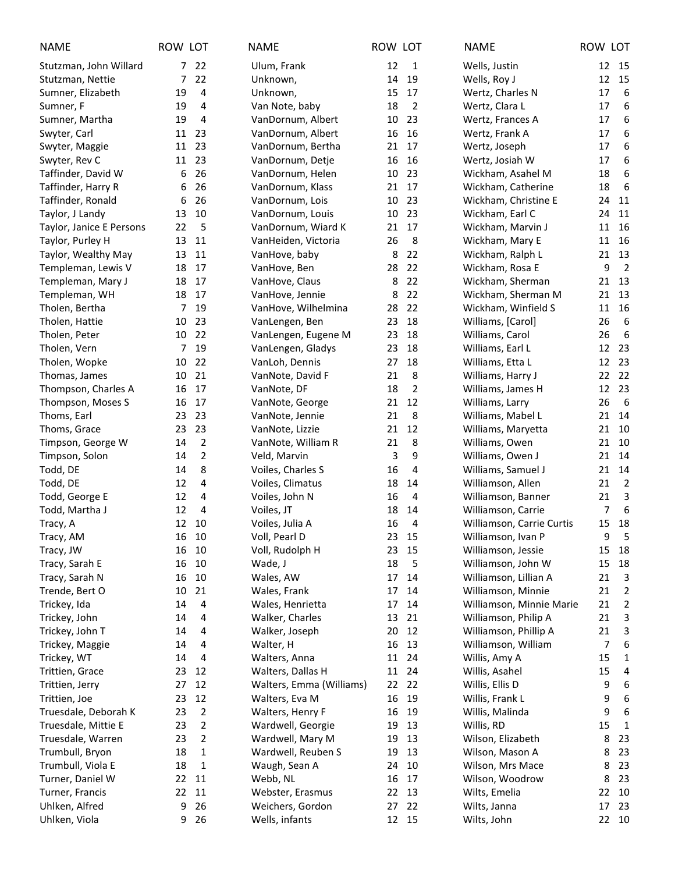| <b>NAME</b>              | ROW LOT |                | <b>NAME</b>              | ROW LOT |                | <b>NAME</b>               | ROW LOT        |                |
|--------------------------|---------|----------------|--------------------------|---------|----------------|---------------------------|----------------|----------------|
| Stutzman, John Willard   |         | 7 22           | Ulum, Frank              | 12      | 1              | Wells, Justin             |                | 12 15          |
| Stutzman, Nettie         | 7       | 22             | Unknown,                 | 14      | 19             | Wells, Roy J              | 12             | 15             |
| Sumner, Elizabeth        | 19      | 4              | Unknown,                 | 15      | 17             | Wertz, Charles N          | 17             | 6              |
| Sumner, F                | 19      | 4              | Van Note, baby           | 18      | $\overline{2}$ | Wertz, Clara L            | 17             | 6              |
| Sumner, Martha           | 19      | $\overline{4}$ | VanDornum, Albert        | 10      | 23             | Wertz, Frances A          | 17             | 6              |
| Swyter, Carl             | 11      | 23             | VanDornum, Albert        | 16      | 16             | Wertz, Frank A            | 17             | 6              |
| Swyter, Maggie           | 11      | 23             | VanDornum, Bertha        | 21      | 17             | Wertz, Joseph             | 17             | 6              |
| Swyter, Rev C            | 11 23   |                | VanDornum, Detje         | 16      | 16             | Wertz, Josiah W           | 17             | 6              |
| Taffinder, David W       | 6       | 26             | VanDornum, Helen         | 10      | 23             | Wickham, Asahel M         | 18             | 6              |
| Taffinder, Harry R       | 6       | 26             | VanDornum, Klass         | 21      | 17             | Wickham, Catherine        | 18             | 6              |
| Taffinder, Ronald        | 6       | 26             | VanDornum, Lois          | 10      | 23             | Wickham, Christine E      | 24             | 11             |
| Taylor, J Landy          | 13      | 10             | VanDornum, Louis         | 10      | 23             | Wickham, Earl C           | 24             | 11             |
| Taylor, Janice E Persons | 22      | 5              | VanDornum, Wiard K       | 21      | 17             | Wickham, Marvin J         | 11             | 16             |
| Taylor, Purley H         | 13      | 11             | VanHeiden, Victoria      | 26      | 8              | Wickham, Mary E           | 11             | 16             |
| Taylor, Wealthy May      | 13      | 11             | VanHove, baby            | 8       | 22             | Wickham, Ralph L          | 21             | 13             |
| Templeman, Lewis V       | 18      | 17             | VanHove, Ben             | 28      | 22             | Wickham, Rosa E           | 9              | $\overline{2}$ |
| Templeman, Mary J        | 18      | 17             | VanHove, Claus           | 8       | 22             | Wickham, Sherman          | 21             | 13             |
| Templeman, WH            | 18      | 17             | VanHove, Jennie          | 8       | 22             | Wickham, Sherman M        | 21             | 13             |
| Tholen, Bertha           | 7       | 19             | VanHove, Wilhelmina      | 28      | 22             | Wickham, Winfield S       | 11             | 16             |
| Tholen, Hattie           | 10      | 23             | VanLengen, Ben           | 23      | 18             | Williams, [Carol]         | 26             | $\sqrt{6}$     |
| Tholen, Peter            | 10      | 22             | VanLengen, Eugene M      | 23      | 18             | Williams, Carol           | 26             | 6              |
| Tholen, Vern             | 7       | 19             | VanLengen, Gladys        | 23      | 18             | Williams, Earl L          | 12             | 23             |
| Tholen, Wopke            | 10      | 22             | VanLoh, Dennis           | 27      | 18             | Williams, Etta L          | 12             | 23             |
| Thomas, James            | 10      | 21             | VanNote, David F         | 21      | 8              | Williams, Harry J         |                | 22 22          |
| Thompson, Charles A      | 16      | 17             | VanNote, DF              | 18      | 2              | Williams, James H         |                | 12 23          |
| Thompson, Moses S        | 16      | 17             | VanNote, George          | 21      | 12             | Williams, Larry           | 26             | - 6            |
| Thoms, Earl              | 23      | 23             | VanNote, Jennie          | 21      | 8              | Williams, Mabel L         | 21             | 14             |
| Thoms, Grace             | 23      | 23             | VanNote, Lizzie          | 21      | 12             | Williams, Maryetta        | 21             | 10             |
| Timpson, George W        | 14      | $\overline{2}$ | VanNote, William R       | 21      | 8              | Williams, Owen            | 21             | 10             |
| Timpson, Solon           | 14      | $\overline{2}$ | Veld, Marvin             | 3       | 9              | Williams, Owen J          | 21             | 14             |
| Todd, DE                 | 14      | 8              | Voiles, Charles S        | 16      | 4              | Williams, Samuel J        | 21             | 14             |
| Todd, DE                 | 12      | 4              | Voiles, Climatus         | 18      | 14             | Williamson, Allen         | 21             | $\overline{2}$ |
| Todd, George E           | 12      | 4              | Voiles, John N           | 16      | 4              | Williamson, Banner        | 21             | $\overline{3}$ |
| Todd, Martha J           | 12      | 4              | Voiles, JT               | 18      | 14             | Williamson, Carrie        | $\overline{7}$ | 6              |
| Tracy, A                 | 12      | 10             | Voiles, Julia A          | 16      | 4              | Williamson, Carrie Curtis | 15             | 18             |
| Tracy, AM                | 16 10   |                | Voll, Pearl D            |         | 23 15          | Williamson, Ivan P        | 9              | 5              |
| Tracy, JW                | 16      | 10             | Voll, Rudolph H          | 23      | 15             | Williamson, Jessie        | 15             | 18             |
| Tracy, Sarah E           | 16      | 10             | Wade, J                  | 18      | 5              | Williamson, John W        | 15             | 18             |
| Tracy, Sarah N           | 16      | 10             | Wales, AW                | 17      | 14             | Williamson, Lillian A     | 21             | $\mathsf{3}$   |
| Trende, Bert O           | 10      | 21             | Wales, Frank             | 17      | 14             | Williamson, Minnie        | 21             | $\overline{2}$ |
| Trickey, Ida             | 14      | 4              | Wales, Henrietta         | 17      | 14             | Williamson, Minnie Marie  | 21             | $\overline{2}$ |
| Trickey, John            | 14      | 4              | Walker, Charles          | 13      | 21             | Williamson, Philip A      | 21             | 3              |
| Trickey, John T          | 14      | 4              | Walker, Joseph           | 20      | 12             | Williamson, Phillip A     | 21             | 3              |
| Trickey, Maggie          | 14      | 4              | Walter, H                | 16      | 13             | Williamson, William       | 7              | 6              |
| Trickey, WT              | 14      | 4              | Walters, Anna            | 11      | 24             | Willis, Amy A             | 15             | 1              |
| Trittien, Grace          | 23      | 12             | Walters, Dallas H        | 11      | 24             | Willis, Asahel            | 15             | 4              |
| Trittien, Jerry          | 27      | 12             | Walters, Emma (Williams) | 22      | 22             | Willis, Ellis D           | 9              | 6              |
| Trittien, Joe            | 23      | 12             | Walters, Eva M           | 16      | 19             | Willis, Frank L           | 9              | 6              |
| Truesdale, Deborah K     | 23      | $\overline{2}$ | Walters, Henry F         | 16      | 19             | Willis, Malinda           | 9              | 6              |
| Truesdale, Mittie E      | 23      | $\overline{2}$ | Wardwell, Georgie        | 19      | 13             | Willis, RD                | 15             | 1              |
| Truesdale, Warren        | 23      | 2              | Wardwell, Mary M         | 19      | 13             | Wilson, Elizabeth         | 8              | 23             |
| Trumbull, Bryon          | 18      | 1              | Wardwell, Reuben S       | 19      | 13             | Wilson, Mason A           | 8              | 23             |
| Trumbull, Viola E        | 18      | 1              | Waugh, Sean A            | 24      | 10             | Wilson, Mrs Mace          | 8              | 23             |
| Turner, Daniel W         | 22      | 11             | Webb, NL                 | 16      | 17             | Wilson, Woodrow           | 8              | 23             |
| Turner, Francis          | 22      | 11             | Webster, Erasmus         | 22      | 13             | Wilts, Emelia             | 22             | 10             |
| Uhlken, Alfred           | 9       | 26             | Weichers, Gordon         | 27      | 22             | Wilts, Janna              | 17             | 23             |
| Uhlken, Viola            |         | 9 26           | Wells, infants           |         | 12 15          | Wilts, John               |                | 22 10          |